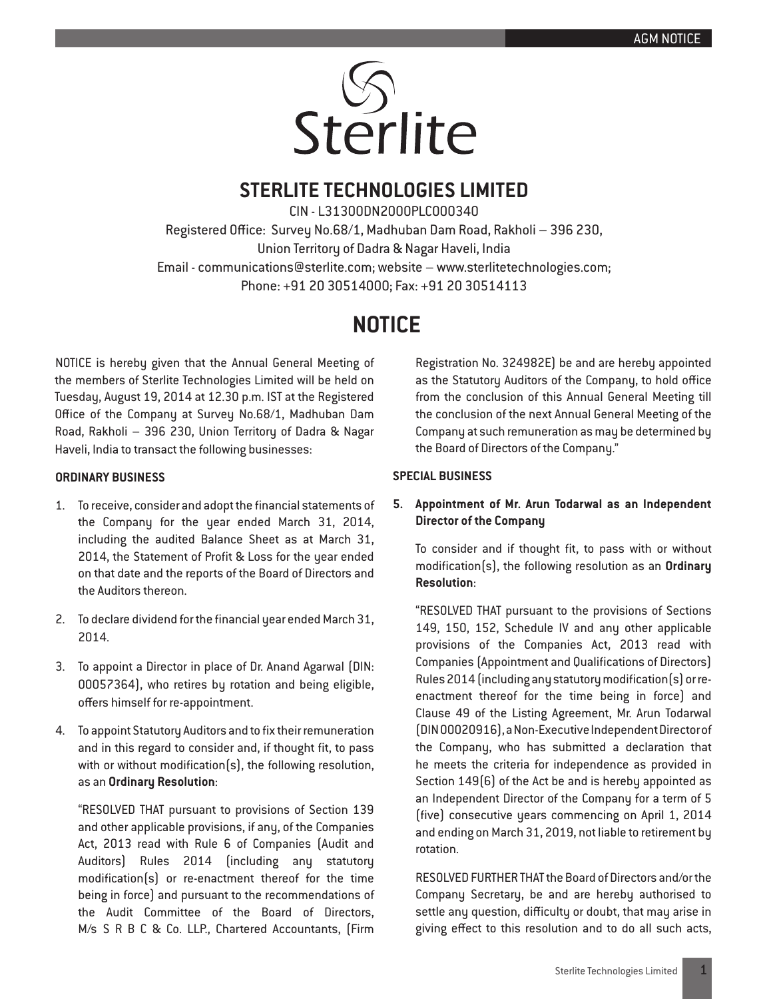

## **STERLITE TECHNOLOGIES LIMITED**

CIN - L31300DN2000PLC000340 Registered Office: Survey No.68/1, Madhuban Dam Road, Rakholi – 396 230, Union Territory of Dadra & Nagar Haveli, India Email - communications@sterlite.com; website – www.sterlitetechnologies.com; Phone: +91 20 30514000; Fax: +91 20 30514113

# **NOTICE**

NOTICE is hereby given that the Annual General Meeting of the members of Sterlite Technologies Limited will be held on Tuesday, August 19, 2014 at 12.30 p.m. IST at the Registered Office of the Company at Survey No.68/1, Madhuban Dam Road, Rakholi – 396 230, Union Territory of Dadra & Nagar Haveli, India to transact the following businesses:

## **ORDINARY BUSINESS**

- 1. To receive, consider and adopt the financial statements of the Company for the year ended March 31, 2014, including the audited Balance Sheet as at March 31, 2014, the Statement of Profit & Loss for the year ended on that date and the reports of the Board of Directors and the Auditors thereon.
- 2. To declare dividend for the financial year ended March 31, 2014.
- 3. To appoint a Director in place of Dr. Anand Agarwal (DIN: 00057364), who retires by rotation and being eligible, offers himself for re-appointment.
- 4. To appoint Statutory Auditors and to fix their remuneration and in this regard to consider and, if thought fit, to pass with or without modification(s), the following resolution, as an **Ordinary Resolution**:

"RESOLVED THAT pursuant to provisions of Section 139 and other applicable provisions, if any, of the Companies Act, 2013 read with Rule 6 of Companies (Audit and Auditors) Rules 2014 (including any statutory modification(s) or re-enactment thereof for the time being in force) and pursuant to the recommendations of the Audit Committee of the Board of Directors, M/s S R B C & Co. LLP., Chartered Accountants, (Firm

Registration No. 324982E) be and are hereby appointed as the Statutory Auditors of the Company, to hold office from the conclusion of this Annual General Meeting till the conclusion of the next Annual General Meeting of the Company at such remuneration as may be determined by the Board of Directors of the Company."

## **SPECIAL BUSINESS**

## **5. Appointment of Mr. Arun Todarwal as an Independent Director of the Company**

To consider and if thought fit, to pass with or without modification(s), the following resolution as an **Ordinary Resolution**:

"RESOLVED THAT pursuant to the provisions of Sections 149, 150, 152, Schedule IV and any other applicable provisions of the Companies Act, 2013 read with Companies (Appointment and Qualifications of Directors) Rules 2014 (including any statutory modification(s) or reenactment thereof for the time being in force) and Clause 49 of the Listing Agreement, Mr. Arun Todarwal (DIN 00020916), a Non-Executive Independent Director of the Company, who has submitted a declaration that he meets the criteria for independence as provided in Section 149(6) of the Act be and is hereby appointed as an Independent Director of the Company for a term of 5 (five) consecutive years commencing on April 1, 2014 and ending on March 31, 2019, not liable to retirement by rotation.

RESOLVED FURTHER THAT the Board of Directors and/or the Company Secretary, be and are hereby authorised to settle any question, difficulty or doubt, that may arise in giving effect to this resolution and to do all such acts,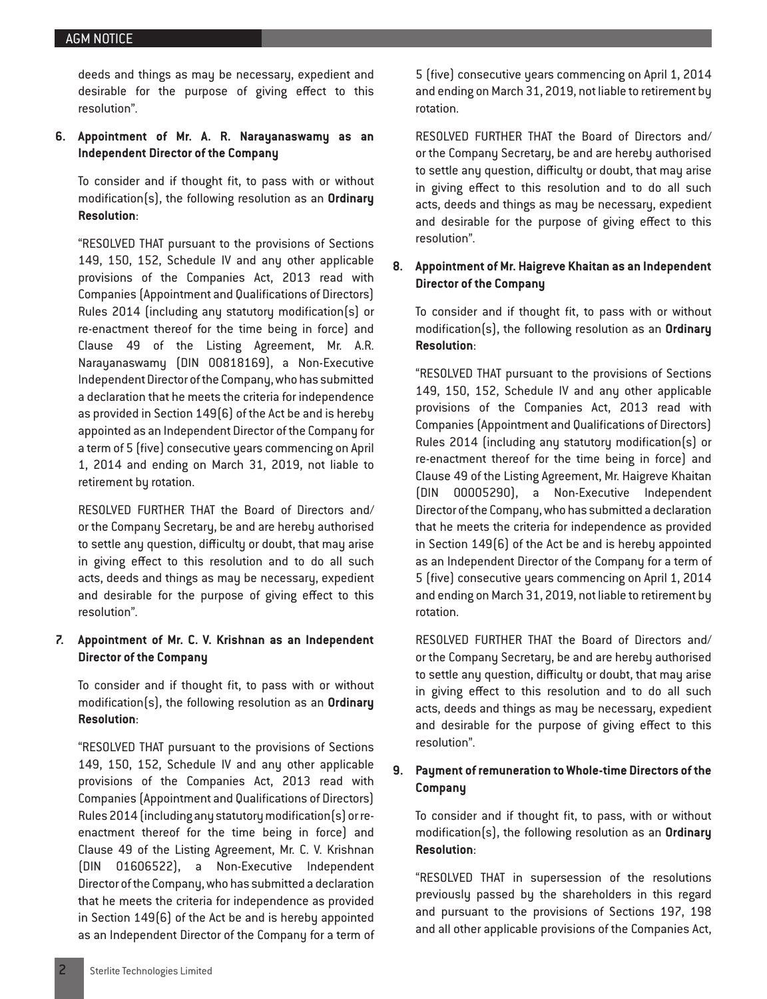deeds and things as may be necessary, expedient and desirable for the purpose of giving effect to this resolution".

**6. Appointment of Mr. A. R. Narayanaswamy as an Independent Director of the Company**

To consider and if thought fit, to pass with or without modification(s), the following resolution as an **Ordinary Resolution**:

"RESOLVED THAT pursuant to the provisions of Sections 149, 150, 152, Schedule IV and any other applicable provisions of the Companies Act, 2013 read with Companies (Appointment and Qualifications of Directors) Rules 2014 (including any statutory modification(s) or re-enactment thereof for the time being in force) and Clause 49 of the Listing Agreement, Mr. A.R. Narayanaswamy (DIN 00818169), a Non-Executive Independent Director of the Company, who has submitted a declaration that he meets the criteria for independence as provided in Section 149(6) of the Act be and is hereby appointed as an Independent Director of the Company for a term of 5 (five) consecutive years commencing on April 1, 2014 and ending on March 31, 2019, not liable to retirement by rotation.

RESOLVED FURTHER THAT the Board of Directors and/ or the Company Secretary, be and are hereby authorised to settle any question, difficulty or doubt, that may arise in giving effect to this resolution and to do all such acts, deeds and things as may be necessary, expedient and desirable for the purpose of giving effect to this resolution".

## **7. Appointment of Mr. C. V. Krishnan as an Independent Director of the Company**

To consider and if thought fit, to pass with or without modification(s), the following resolution as an **Ordinary Resolution**:

"RESOLVED THAT pursuant to the provisions of Sections 149, 150, 152, Schedule IV and any other applicable provisions of the Companies Act, 2013 read with Companies (Appointment and Qualifications of Directors) Rules 2014 (including any statutory modification(s) or reenactment thereof for the time being in force) and Clause 49 of the Listing Agreement, Mr. C. V. Krishnan (DIN 01606522), a Non-Executive Independent Director of the Company, who has submitted a declaration that he meets the criteria for independence as provided in Section 149(6) of the Act be and is hereby appointed as an Independent Director of the Company for a term of 5 (five) consecutive years commencing on April 1, 2014 and ending on March 31, 2019, not liable to retirement by rotation.

RESOLVED FURTHER THAT the Board of Directors and/ or the Company Secretary, be and are hereby authorised to settle any question, difficulty or doubt, that may arise in giving effect to this resolution and to do all such acts, deeds and things as may be necessary, expedient and desirable for the purpose of giving effect to this resolution".

## **8. Appointment of Mr. Haigreve Khaitan as an Independent Director of the Company**

To consider and if thought fit, to pass with or without modification(s), the following resolution as an **Ordinary Resolution**:

"RESOLVED THAT pursuant to the provisions of Sections 149, 150, 152, Schedule IV and any other applicable provisions of the Companies Act, 2013 read with Companies (Appointment and Qualifications of Directors) Rules 2014 (including any statutory modification(s) or re-enactment thereof for the time being in force) and Clause 49 of the Listing Agreement, Mr. Haigreve Khaitan (DIN 00005290), a Non-Executive Independent Director of the Company, who has submitted a declaration that he meets the criteria for independence as provided in Section 149(6) of the Act be and is hereby appointed as an Independent Director of the Company for a term of 5 (five) consecutive years commencing on April 1, 2014 and ending on March 31, 2019, not liable to retirement by rotation.

RESOLVED FURTHER THAT the Board of Directors and/ or the Company Secretary, be and are hereby authorised to settle any question, difficulty or doubt, that may arise in giving effect to this resolution and to do all such acts, deeds and things as may be necessary, expedient and desirable for the purpose of giving effect to this resolution".

## **9. Payment of remuneration to Whole-time Directors of the Company**

To consider and if thought fit, to pass, with or without modification(s), the following resolution as an **Ordinary Resolution**:

"RESOLVED THAT in supersession of the resolutions previously passed by the shareholders in this regard and pursuant to the provisions of Sections 197, 198 and all other applicable provisions of the Companies Act,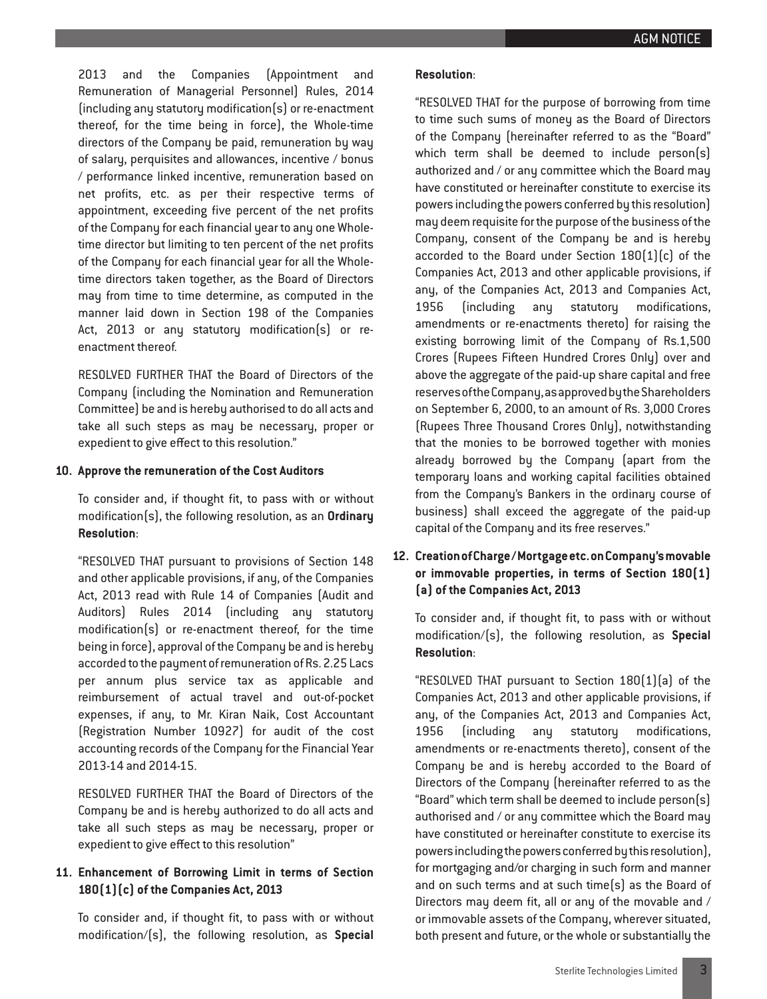2013 and the Companies (Appointment and Remuneration of Managerial Personnel) Rules, 2014 (including any statutory modification(s) or re-enactment thereof, for the time being in force), the Whole-time directors of the Company be paid, remuneration by way of salary, perquisites and allowances, incentive / bonus / performance linked incentive, remuneration based on net profits, etc. as per their respective terms of appointment, exceeding five percent of the net profits of the Company for each financial year to any one Wholetime director but limiting to ten percent of the net profits of the Company for each financial year for all the Wholetime directors taken together, as the Board of Directors may from time to time determine, as computed in the manner laid down in Section 198 of the Companies Act, 2013 or any statutory modification(s) or reenactment thereof.

RESOLVED FURTHER THAT the Board of Directors of the Company (including the Nomination and Remuneration Committee) be and is hereby authorised to do all acts and take all such steps as may be necessary, proper or expedient to give effect to this resolution."

#### **10. Approve the remuneration of the Cost Auditors**

To consider and, if thought fit, to pass with or without modification(s), the following resolution, as an **Ordinary Resolution**:

"RESOLVED THAT pursuant to provisions of Section 148 and other applicable provisions, if any, of the Companies Act, 2013 read with Rule 14 of Companies (Audit and Auditors) Rules 2014 (including any statutory modification(s) or re-enactment thereof, for the time being in force), approval of the Company be and is hereby accorded to the payment of remuneration of Rs. 2.25 Lacs per annum plus service tax as applicable and reimbursement of actual travel and out-of-pocket expenses, if any, to Mr. Kiran Naik, Cost Accountant (Registration Number 10927) for audit of the cost accounting records of the Company for the Financial Year 2013-14 and 2014-15.

RESOLVED FURTHER THAT the Board of Directors of the Company be and is hereby authorized to do all acts and take all such steps as may be necessary, proper or expedient to give effect to this resolution"

## **11. Enhancement of Borrowing Limit in terms of Section 180(1)(c) of the Companies Act, 2013**

To consider and, if thought fit, to pass with or without modification/(s), the following resolution, as **Special** "RESOLVED THAT for the purpose of borrowing from time to time such sums of money as the Board of Directors of the Company (hereinafter referred to as the "Board" which term shall be deemed to include person(s) authorized and / or any committee which the Board may have constituted or hereinafter constitute to exercise its powers including the powers conferred by this resolution) may deem requisite for the purpose of the business of the Company, consent of the Company be and is hereby accorded to the Board under Section 180(1)(c) of the Companies Act, 2013 and other applicable provisions, if any, of the Companies Act, 2013 and Companies Act, 1956 (including any statutory modifications, amendments or re-enactments thereto) for raising the existing borrowing limit of the Company of Rs.1,500 Crores (Rupees Fifteen Hundred Crores Only) over and above the aggregate of the paid-up share capital and free reserves of the Company, as approved by the Shareholders on September 6, 2000, to an amount of Rs. 3,000 Crores (Rupees Three Thousand Crores Only), notwithstanding that the monies to be borrowed together with monies already borrowed by the Company (apart from the temporary loans and working capital facilities obtained from the Company's Bankers in the ordinary course of business) shall exceed the aggregate of the paid-up capital of the Company and its free reserves."

## **12. Creation of Charge / Mortgage etc. on Company's movable or immovable properties, in terms of Section 180(1) (a) of the Companies Act, 2013**

To consider and, if thought fit, to pass with or without modification/(s), the following resolution, as **Special Resolution**:

"RESOLVED THAT pursuant to Section 180(1)(a) of the Companies Act, 2013 and other applicable provisions, if any, of the Companies Act, 2013 and Companies Act, 1956 (including any statutory modifications, amendments or re-enactments thereto), consent of the Company be and is hereby accorded to the Board of Directors of the Company (hereinafter referred to as the "Board" which term shall be deemed to include person(s) authorised and / or any committee which the Board may have constituted or hereinafter constitute to exercise its powers including the powers conferred by this resolution), for mortgaging and/or charging in such form and manner and on such terms and at such time(s) as the Board of Directors may deem fit, all or any of the movable and / or immovable assets of the Company, wherever situated, both present and future, or the whole or substantially the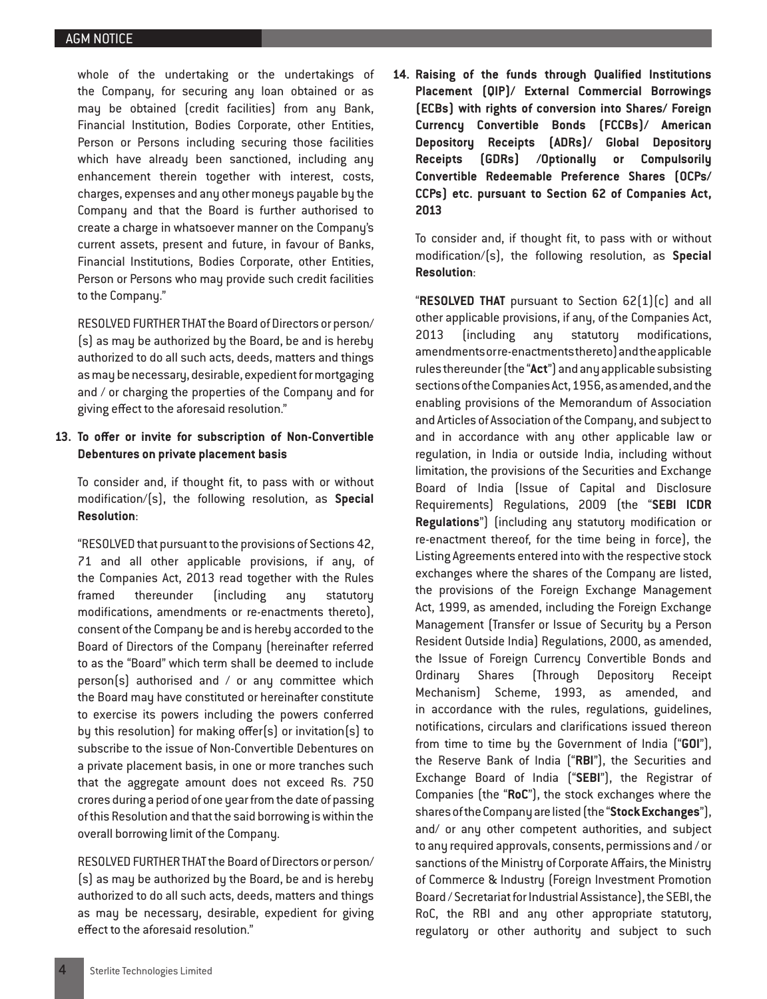whole of the undertaking or the undertakings of the Company, for securing any loan obtained or as may be obtained (credit facilities) from any Bank, Financial Institution, Bodies Corporate, other Entities, Person or Persons including securing those facilities which have already been sanctioned, including any enhancement therein together with interest, costs, charges, expenses and any other moneys payable by the Company and that the Board is further authorised to create a charge in whatsoever manner on the Company's current assets, present and future, in favour of Banks, Financial Institutions, Bodies Corporate, other Entities, Person or Persons who may provide such credit facilities to the Company."

RESOLVED FURTHER THAT the Board of Directors or person/ (s) as may be authorized by the Board, be and is hereby authorized to do all such acts, deeds, matters and things as may be necessary, desirable, expedient for mortgaging and / or charging the properties of the Company and for giving effect to the aforesaid resolution."

## **13. To offer or invite for subscription of Non-Convertible Debentures on private placement basis**

To consider and, if thought fit, to pass with or without modification/(s), the following resolution, as **Special Resolution**:

"RESOLVED that pursuant to the provisions of Sections 42, 71 and all other applicable provisions, if any, of the Companies Act, 2013 read together with the Rules framed thereunder (including any statutory modifications, amendments or re-enactments thereto), consent of the Company be and is hereby accorded to the Board of Directors of the Company (hereinafter referred to as the "Board" which term shall be deemed to include person(s) authorised and / or any committee which the Board may have constituted or hereinafter constitute to exercise its powers including the powers conferred by this resolution) for making offer(s) or invitation(s) to subscribe to the issue of Non-Convertible Debentures on a private placement basis, in one or more tranches such that the aggregate amount does not exceed Rs. 750 crores during a period of one year from the date of passing of this Resolution and that the said borrowing is within the overall borrowing limit of the Company.

RESOLVED FURTHER THAT the Board of Directors or person/ (s) as may be authorized by the Board, be and is hereby authorized to do all such acts, deeds, matters and things as may be necessary, desirable, expedient for giving effect to the aforesaid resolution."

**14. Raising of the funds through Qualified Institutions Placement (QIP)/ External Commercial Borrowings (ECBs) with rights of conversion into Shares/ Foreign Currency Convertible Bonds (FCCBs)/ American Depository Receipts (ADRs)/ Global Depository Receipts (GDRs) /Optionally or Compulsorily Convertible Redeemable Preference Shares (OCPs/ CCPs) etc. pursuant to Section 62 of Companies Act, 2013**

To consider and, if thought fit, to pass with or without modification/(s), the following resolution, as **Special Resolution**:

"**RESOLVED THAT** pursuant to Section 62(1)(c) and all other applicable provisions, if any, of the Companies Act, 2013 (including any statutory modifications, amendments or re-enactments thereto) and the applicable rules thereunder (the "**Act**") and any applicable subsisting sections of the Companies Act, 1956, as amended, and the enabling provisions of the Memorandum of Association and Articles of Association of the Company, and subject to and in accordance with any other applicable law or regulation, in India or outside India, including without limitation, the provisions of the Securities and Exchange Board of India (Issue of Capital and Disclosure Requirements) Regulations, 2009 (the "**SEBI ICDR Regulations**") (including any statutory modification or re-enactment thereof, for the time being in force), the Listing Agreements entered into with the respective stock exchanges where the shares of the Company are listed, the provisions of the Foreign Exchange Management Act, 1999, as amended, including the Foreign Exchange Management (Transfer or Issue of Security by a Person Resident Outside India) Regulations, 2000, as amended, the Issue of Foreign Currency Convertible Bonds and Ordinary Shares (Through Depository Receipt Mechanism) Scheme, 1993, as amended, and in accordance with the rules, regulations, guidelines, notifications, circulars and clarifications issued thereon from time to time by the Government of India ("**GOI**"), the Reserve Bank of India ("**RBI**"), the Securities and Exchange Board of India ("**SEBI**"), the Registrar of Companies (the "**RoC**"), the stock exchanges where the shares of the Company are listed (the "**Stock Exchanges**"), and/ or any other competent authorities, and subject to any required approvals, consents, permissions and / or sanctions of the Ministry of Corporate Affairs, the Ministry of Commerce & Industry (Foreign Investment Promotion Board / Secretariat for Industrial Assistance), the SEBI, the RoC, the RBI and any other appropriate statutory, regulatory or other authority and subject to such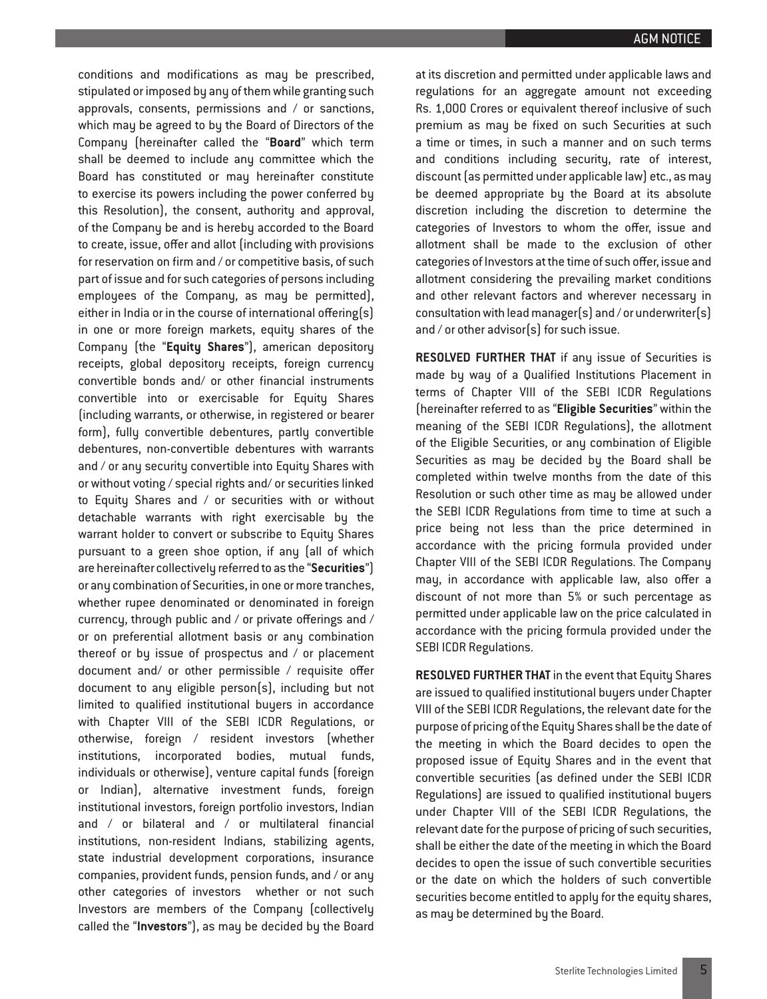conditions and modifications as may be prescribed, stipulated or imposed by any of them while granting such approvals, consents, permissions and / or sanctions, which may be agreed to by the Board of Directors of the Company (hereinafter called the "**Board**" which term shall be deemed to include any committee which the Board has constituted or may hereinafter constitute to exercise its powers including the power conferred by this Resolution), the consent, authority and approval, of the Company be and is hereby accorded to the Board to create, issue, offer and allot (including with provisions for reservation on firm and / or competitive basis, of such part of issue and for such categories of persons including employees of the Company, as may be permitted), either in India or in the course of international offering(s) in one or more foreign markets, equity shares of the Company (the "**Equity Shares**"), american depository receipts, global depository receipts, foreign currency convertible bonds and/ or other financial instruments convertible into or exercisable for Equity Shares (including warrants, or otherwise, in registered or bearer form), fully convertible debentures, partly convertible debentures, non-convertible debentures with warrants and / or any security convertible into Equity Shares with or without voting / special rights and/ or securities linked to Equity Shares and / or securities with or without detachable warrants with right exercisable by the warrant holder to convert or subscribe to Equity Shares pursuant to a green shoe option, if any (all of which are hereinafter collectively referred to as the "**Securities**") or any combination of Securities, in one or more tranches, whether rupee denominated or denominated in foreign currency, through public and / or private offerings and / or on preferential allotment basis or any combination thereof or by issue of prospectus and / or placement document and/ or other permissible / requisite offer document to any eligible person(s), including but not limited to qualified institutional buyers in accordance with Chapter VIII of the SEBI ICDR Regulations, or otherwise, foreign / resident investors (whether institutions, incorporated bodies, mutual funds, individuals or otherwise), venture capital funds (foreign or Indian), alternative investment funds, foreign institutional investors, foreign portfolio investors, Indian and / or bilateral and / or multilateral financial institutions, non-resident Indians, stabilizing agents, state industrial development corporations, insurance companies, provident funds, pension funds, and / or any other categories of investors whether or not such Investors are members of the Company (collectively called the "**Investors**"), as may be decided by the Board

at its discretion and permitted under applicable laws and regulations for an aggregate amount not exceeding Rs. 1,000 Crores or equivalent thereof inclusive of such premium as may be fixed on such Securities at such a time or times, in such a manner and on such terms and conditions including security, rate of interest, discount (as permitted under applicable law) etc., as may be deemed appropriate by the Board at its absolute discretion including the discretion to determine the categories of Investors to whom the offer, issue and allotment shall be made to the exclusion of other categories of Investors at the time of such offer, issue and allotment considering the prevailing market conditions and other relevant factors and wherever necessary in consultation with lead manager(s) and / or underwriter(s) and / or other advisor(s) for such issue.

**RESOLVED FURTHER THAT** if any issue of Securities is made by way of a Qualified Institutions Placement in terms of Chapter VIII of the SEBI ICDR Regulations (hereinafter referred to as "**Eligible Securities**" within the meaning of the SEBI ICDR Regulations), the allotment of the Eligible Securities, or any combination of Eligible Securities as may be decided by the Board shall be completed within twelve months from the date of this Resolution or such other time as may be allowed under the SEBI ICDR Regulations from time to time at such a price being not less than the price determined in accordance with the pricing formula provided under Chapter VIII of the SEBI ICDR Regulations. The Company may, in accordance with applicable law, also offer a discount of not more than 5% or such percentage as permitted under applicable law on the price calculated in accordance with the pricing formula provided under the SEBI ICDR Regulations.

**RESOLVED FURTHER THAT** in the event that Equity Shares are issued to qualified institutional buyers under Chapter VIII of the SEBI ICDR Regulations, the relevant date for the purpose of pricing of the Equity Shares shall be the date of the meeting in which the Board decides to open the proposed issue of Equity Shares and in the event that convertible securities (as defined under the SEBI ICDR Regulations) are issued to qualified institutional buyers under Chapter VIII of the SEBI ICDR Regulations, the relevant date for the purpose of pricing of such securities, shall be either the date of the meeting in which the Board decides to open the issue of such convertible securities or the date on which the holders of such convertible securities become entitled to apply for the equity shares, as may be determined by the Board.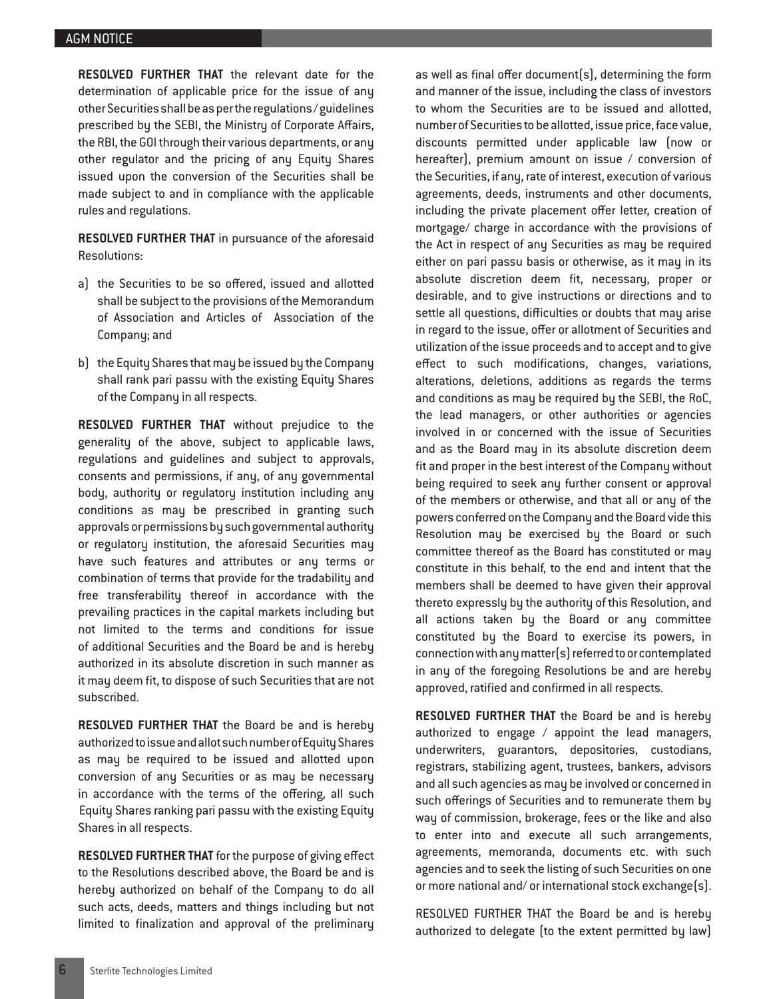**RESOLVED FURTHER THAT** the relevant date for the determination of applicable price for the issue of any other Securities shall be as per the regulations / guidelines prescribed by the SEBI, the Ministry of Corporate Affairs, the RBI, the GOI through their various departments, or any other regulator and the pricing of any Equity Shares issued upon the conversion of the Securities shall be made subject to and in compliance with the applicable rules and regulations.

**RESOLVED FURTHER THAT** in pursuance of the aforesaid Resolutions:

- a) the Securities to be so offered, issued and allotted shall be subject to the provisions of the Memorandum of Association and Articles of Association of the Company; and
- b) the Equity Shares that may be issued by the Company shall rank pari passu with the existing Equity Shares of the Company in all respects.

**RESOLVED FURTHER THAT** without prejudice to the generality of the above, subject to applicable laws, regulations and guidelines and subject to approvals, consents and permissions, if any, of any governmental body, authority or regulatory institution including any conditions as may be prescribed in granting such approvals or permissions by such governmental authority or regulatory institution, the aforesaid Securities may have such features and attributes or any terms or combination of terms that provide for the tradability and free transferability thereof in accordance with the prevailing practices in the capital markets including but not limited to the terms and conditions for issue of additional Securities and the Board be and is hereby authorized in its absolute discretion in such manner as it may deem fit, to dispose of such Securities that are not subscribed.

**RESOLVED FURTHER THAT** the Board be and is hereby authorized to issue and allot such number of Equity Shares as may be required to be issued and allotted upon conversion of any Securities or as may be necessary in accordance with the terms of the offering, all such Equity Shares ranking pari passu with the existing Equity Shares in all respects.

**RESOLVED FURTHER THAT** for the purpose of giving effect to the Resolutions described above, the Board be and is hereby authorized on behalf of the Company to do all such acts, deeds, matters and things including but not limited to finalization and approval of the preliminary

as well as final offer document(s), determining the form and manner of the issue, including the class of investors to whom the Securities are to be issued and allotted, number of Securities to be allotted, issue price, face value, discounts permitted under applicable law (now or hereafter), premium amount on issue / conversion of the Securities, if any, rate of interest, execution of various agreements, deeds, instruments and other documents, including the private placement offer letter, creation of mortgage/ charge in accordance with the provisions of the Act in respect of any Securities as may be required either on pari passu basis or otherwise, as it may in its absolute discretion deem fit, necessary, proper or desirable, and to give instructions or directions and to settle all questions, difficulties or doubts that may arise in regard to the issue, offer or allotment of Securities and utilization of the issue proceeds and to accept and to give effect to such modifications, changes, variations, alterations, deletions, additions as regards the terms and conditions as may be required by the SEBI, the RoC, the lead managers, or other authorities or agencies involved in or concerned with the issue of Securities and as the Board may in its absolute discretion deem fit and proper in the best interest of the Company without being required to seek any further consent or approval of the members or otherwise, and that all or any of the powers conferred on the Company and the Board vide this Resolution may be exercised by the Board or such committee thereof as the Board has constituted or may constitute in this behalf, to the end and intent that the members shall be deemed to have given their approval thereto expressly by the authority of this Resolution, and all actions taken by the Board or any committee constituted by the Board to exercise its powers, in connection with any matter(s) referred to or contemplated in any of the foregoing Resolutions be and are hereby approved, ratified and confirmed in all respects.

**RESOLVED FURTHER THAT** the Board be and is hereby authorized to engage / appoint the lead managers, underwriters, guarantors, depositories, custodians, registrars, stabilizing agent, trustees, bankers, advisors and all such agencies as may be involved or concerned in such offerings of Securities and to remunerate them by way of commission, brokerage, fees or the like and also to enter into and execute all such arrangements, agreements, memoranda, documents etc. with such agencies and to seek the listing of such Securities on one or more national and/ or international stock exchange(s).

RESOLVED FURTHER THAT the Board be and is hereby authorized to delegate (to the extent permitted by law)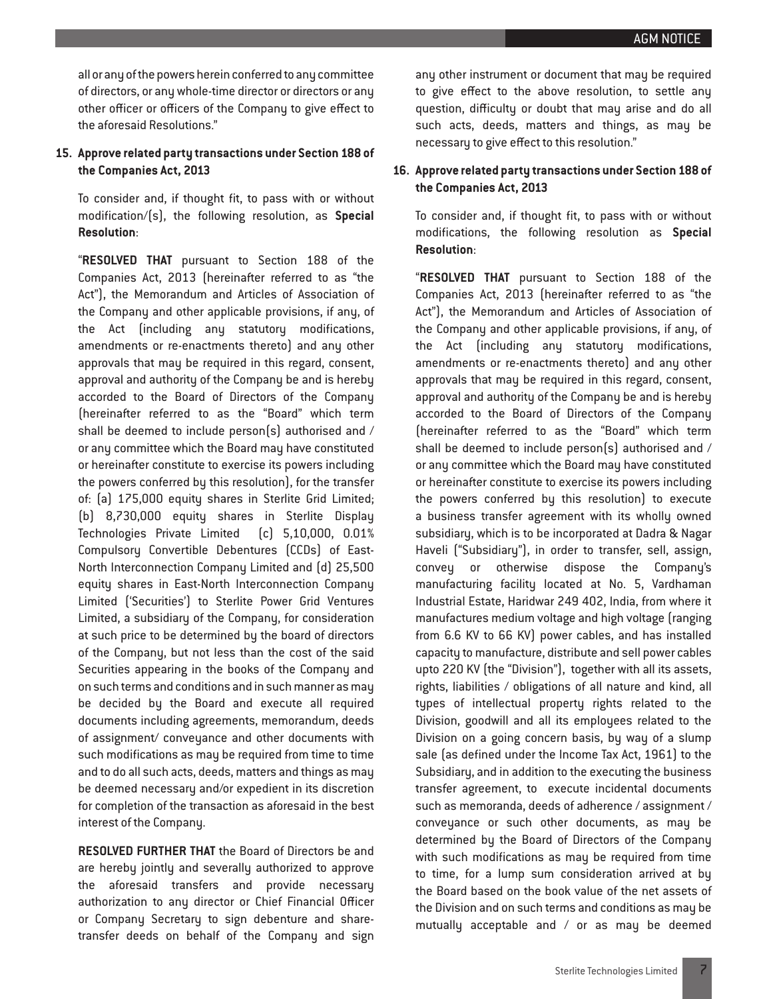all or any of the powers herein conferred to any committee of directors, or any whole-time director or directors or any other officer or officers of the Company to give effect to the aforesaid Resolutions."

## **15. Approve related party transactions under Section 188 of the Companies Act, 2013**

To consider and, if thought fit, to pass with or without modification/(s), the following resolution, as **Special Resolution**:

"**RESOLVED THAT** pursuant to Section 188 of the Companies Act, 2013 (hereinafter referred to as "the Act"), the Memorandum and Articles of Association of the Company and other applicable provisions, if any, of the Act (including any statutory modifications, amendments or re-enactments thereto) and any other approvals that may be required in this regard, consent, approval and authority of the Company be and is hereby accorded to the Board of Directors of the Company (hereinafter referred to as the "Board" which term shall be deemed to include person(s) authorised and / or any committee which the Board may have constituted or hereinafter constitute to exercise its powers including the powers conferred by this resolution), for the transfer of: (a) 175,000 equity shares in Sterlite Grid Limited; (b) 8,730,000 equity shares in Sterlite Display Technologies Private Limited (c) 5,10,000, 0.01% Compulsory Convertible Debentures (CCDs) of East-North Interconnection Company Limited and (d) 25,500 equity shares in East-North Interconnection Company Limited ('Securities') to Sterlite Power Grid Ventures Limited, a subsidiary of the Company, for consideration at such price to be determined by the board of directors of the Company, but not less than the cost of the said Securities appearing in the books of the Company and on such terms and conditions and in such manner as may be decided by the Board and execute all required documents including agreements, memorandum, deeds of assignment/ conveyance and other documents with such modifications as may be required from time to time and to do all such acts, deeds, matters and things as may be deemed necessary and/or expedient in its discretion for completion of the transaction as aforesaid in the best interest of the Company.

**RESOLVED FURTHER THAT** the Board of Directors be and are hereby jointly and severally authorized to approve the aforesaid transfers and provide necessary authorization to any director or Chief Financial Officer or Company Secretary to sign debenture and sharetransfer deeds on behalf of the Company and sign

any other instrument or document that may be required to give effect to the above resolution, to settle any question, difficulty or doubt that may arise and do all such acts, deeds, matters and things, as may be necessary to give effect to this resolution."

## **16. Approve related party transactions under Section 188 of the Companies Act, 2013**

To consider and, if thought fit, to pass with or without modifications, the following resolution as **Special Resolution**:

"**RESOLVED THAT** pursuant to Section 188 of the Companies Act, 2013 (hereinafter referred to as "the Act"), the Memorandum and Articles of Association of the Company and other applicable provisions, if any, of the Act (including any statutory modifications, amendments or re-enactments thereto) and any other approvals that may be required in this regard, consent, approval and authority of the Company be and is hereby accorded to the Board of Directors of the Company (hereinafter referred to as the "Board" which term shall be deemed to include person(s) authorised and / or any committee which the Board may have constituted or hereinafter constitute to exercise its powers including the powers conferred by this resolution) to execute a business transfer agreement with its wholly owned subsidiary, which is to be incorporated at Dadra & Nagar Haveli ("Subsidiary"), in order to transfer, sell, assign, convey or otherwise dispose the Company's manufacturing facility located at No. 5, Vardhaman Industrial Estate, Haridwar 249 402, India, from where it manufactures medium voltage and high voltage (ranging from 6.6 KV to 66 KV) power cables, and has installed capacity to manufacture, distribute and sell power cables upto 220 KV (the "Division"), together with all its assets, rights, liabilities / obligations of all nature and kind, all types of intellectual property rights related to the Division, goodwill and all its employees related to the Division on a going concern basis, by way of a slump sale (as defined under the Income Tax Act, 1961) to the Subsidiary, and in addition to the executing the business transfer agreement, to execute incidental documents such as memoranda, deeds of adherence / assignment / conveyance or such other documents, as may be determined by the Board of Directors of the Company with such modifications as may be required from time to time, for a lump sum consideration arrived at by the Board based on the book value of the net assets of the Division and on such terms and conditions as may be mutually acceptable and / or as may be deemed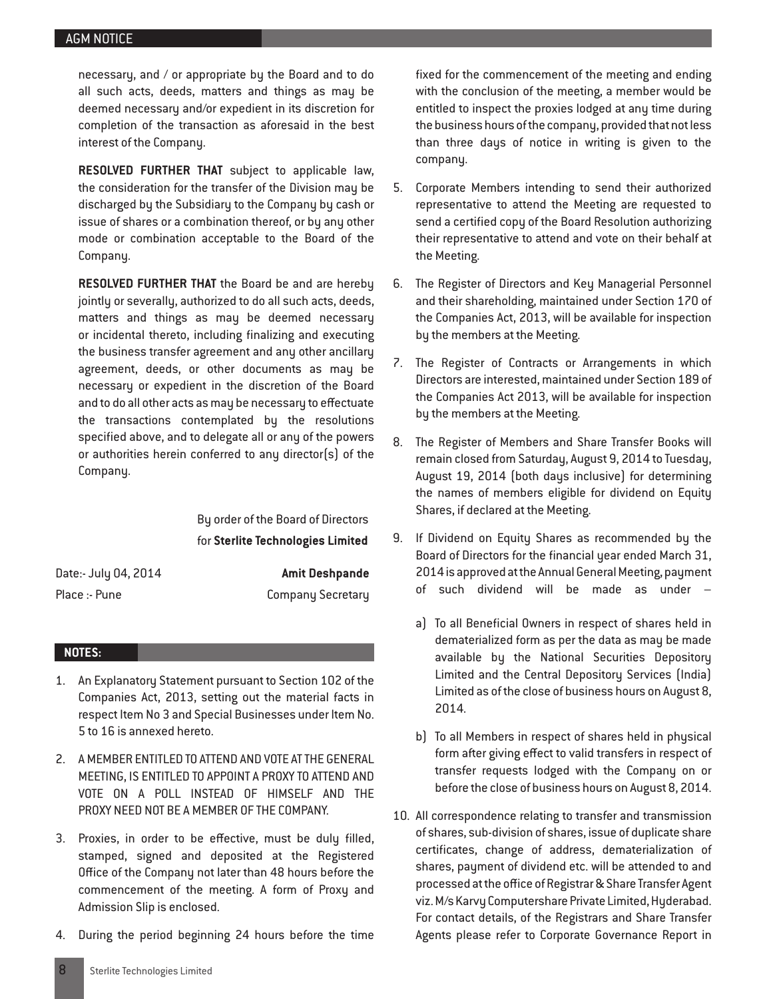necessary, and / or appropriate by the Board and to do all such acts, deeds, matters and things as may be deemed necessary and/or expedient in its discretion for completion of the transaction as aforesaid in the best interest of the Company.

**RESOLVED FURTHER THAT** subject to applicable law, the consideration for the transfer of the Division may be discharged by the Subsidiary to the Company by cash or issue of shares or a combination thereof, or by any other mode or combination acceptable to the Board of the Company.

**RESOLVED FURTHER THAT** the Board be and are hereby jointly or severally, authorized to do all such acts, deeds, matters and things as may be deemed necessary or incidental thereto, including finalizing and executing the business transfer agreement and any other ancillary agreement, deeds, or other documents as may be necessary or expedient in the discretion of the Board and to do all other acts as may be necessary to effectuate the transactions contemplated by the resolutions specified above, and to delegate all or any of the powers or authorities herein conferred to any director(s) of the Company.

> By order of the Board of Directors for **Sterlite Technologies Limited**

| Date:- July 04, 2014 | <b>Amit Deshpande</b>    |  |  |
|----------------------|--------------------------|--|--|
| Place :- Pune        | <b>Company Secretary</b> |  |  |

## **NOTES:**

- 1. An Explanatory Statement pursuant to Section 102 of the Companies Act, 2013, setting out the material facts in respect Item No 3 and Special Businesses under Item No. 5 to 16 is annexed hereto.
- 2. A MEMBER ENTITLED TO ATTEND AND VOTE AT THE GENERAL MEETING, IS ENTITLED TO APPOINT A PROXY TO ATTEND AND VOTE ON A POLL INSTEAD OF HIMSELF AND THE PROXY NEED NOT BE A MEMBER OF THE COMPANY.
- 3. Proxies, in order to be effective, must be duly filled, stamped, signed and deposited at the Registered Office of the Company not later than 48 hours before the commencement of the meeting. A form of Proxy and Admission Slip is enclosed.
- 4. During the period beginning 24 hours before the time

fixed for the commencement of the meeting and ending with the conclusion of the meeting, a member would be entitled to inspect the proxies lodged at any time during the business hours of the company, provided that not less than three days of notice in writing is given to the company.

- 5. Corporate Members intending to send their authorized representative to attend the Meeting are requested to send a certified copy of the Board Resolution authorizing their representative to attend and vote on their behalf at the Meeting.
- 6. The Register of Directors and Key Managerial Personnel and their shareholding, maintained under Section 170 of the Companies Act, 2013, will be available for inspection by the members at the Meeting.
- 7. The Register of Contracts or Arrangements in which Directors are interested, maintained under Section 189 of the Companies Act 2013, will be available for inspection by the members at the Meeting.
- 8. The Register of Members and Share Transfer Books will remain closed from Saturday, August 9, 2014 to Tuesday, August 19, 2014 (both days inclusive) for determining the names of members eligible for dividend on Equity Shares, if declared at the Meeting.
- 9. If Dividend on Equity Shares as recommended by the Board of Directors for the financial year ended March 31, 2014 is approved at the Annual General Meeting, payment such dividend will be made as under  $$ 
	- a) To all Beneficial Owners in respect of shares held in dematerialized form as per the data as may be made available by the National Securities Depository Limited and the Central Depository Services (India) Limited as of the close of business hours on August 8, 2014.
	- b) To all Members in respect of shares held in physical form after giving effect to valid transfers in respect of transfer requests lodged with the Company on or before the close of business hours on August 8, 2014.
- 10. All correspondence relating to transfer and transmission of shares, sub-division of shares, issue of duplicate share certificates, change of address, dematerialization of shares, payment of dividend etc. will be attended to and processed at the office of Registrar & Share Transfer Agent viz. M/s Karvy Computershare Private Limited, Hyderabad. For contact details, of the Registrars and Share Transfer Agents please refer to Corporate Governance Report in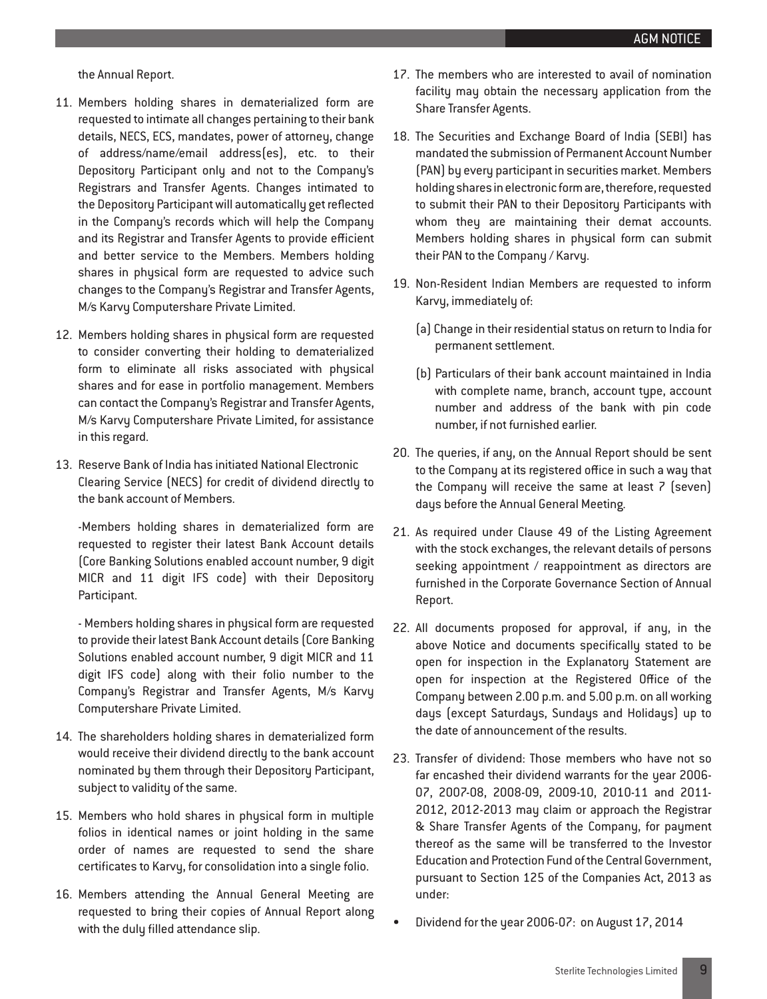the Annual Report.

- 11. Members holding shares in dematerialized form are requested to intimate all changes pertaining to their bank details, NECS, ECS, mandates, power of attorney, change of address/name/email address(es), etc. to their Depository Participant only and not to the Company's Registrars and Transfer Agents. Changes intimated to the Depository Participant will automatically get reflected in the Company's records which will help the Company and its Registrar and Transfer Agents to provide efficient and better service to the Members. Members holding shares in physical form are requested to advice such changes to the Company's Registrar and Transfer Agents, M/s Karvy Computershare Private Limited.
- 12. Members holding shares in physical form are requested to consider converting their holding to dematerialized form to eliminate all risks associated with physical shares and for ease in portfolio management. Members can contact the Company's Registrar and Transfer Agents, M/s Karvy Computershare Private Limited, for assistance in this regard.
- 13. Reserve Bank of India has initiated National Electronic Clearing Service (NECS) for credit of dividend directly to the bank account of Members.

-Members holding shares in dematerialized form are requested to register their latest Bank Account details (Core Banking Solutions enabled account number, 9 digit MICR and 11 digit IFS code) with their Depository Participant.

- Members holding shares in physical form are requested to provide their latest Bank Account details (Core Banking Solutions enabled account number, 9 digit MICR and 11 digit IFS code) along with their folio number to the Company's Registrar and Transfer Agents, M/s Karvy Computershare Private Limited.

- 14. The shareholders holding shares in dematerialized form would receive their dividend directly to the bank account nominated by them through their Depository Participant, subject to validity of the same.
- 15. Members who hold shares in physical form in multiple folios in identical names or joint holding in the same order of names are requested to send the share certificates to Karvy, for consolidation into a single folio.
- 16. Members attending the Annual General Meeting are requested to bring their copies of Annual Report along with the duly filled attendance slip.
- 17. The members who are interested to avail of nomination facility may obtain the necessary application from the Share Transfer Agents.
- 18. The Securities and Exchange Board of India (SEBI) has mandated the submission of Permanent Account Number (PAN) by every participant in securities market. Members holding shares in electronic form are, therefore, requested to submit their PAN to their Depository Participants with whom they are maintaining their demat accounts. Members holding shares in physical form can submit their PAN to the Company / Karvy.
- 19. Non-Resident Indian Members are requested to inform Karvy, immediately of:
	- (a) Change in their residential status on return to India for permanent settlement.
	- (b) Particulars of their bank account maintained in India with complete name, branch, account type, account number and address of the bank with pin code number, if not furnished earlier.
- 20. The queries, if any, on the Annual Report should be sent to the Company at its registered office in such a way that the Company will receive the same at least 7 (seven) days before the Annual General Meeting.
- 21. As required under Clause 49 of the Listing Agreement with the stock exchanges, the relevant details of persons seeking appointment / reappointment as directors are furnished in the Corporate Governance Section of Annual Report.
- 22. All documents proposed for approval, if any, in the above Notice and documents specifically stated to be open for inspection in the Explanatory Statement are open for inspection at the Registered Office of the Company between 2.00 p.m. and 5.00 p.m. on all working days (except Saturdays, Sundays and Holidays) up to the date of announcement of the results.
- 23. Transfer of dividend: Those members who have not so far encashed their dividend warrants for the year 2006- 07, 2007-08, 2008-09, 2009-10, 2010-11 and 2011- 2012, 2012-2013 may claim or approach the Registrar & Share Transfer Agents of the Company, for payment thereof as the same will be transferred to the Investor Education and Protection Fund of the Central Government, pursuant to Section 125 of the Companies Act, 2013 as under:
- Dividend for the year 2006-07: on August 17, 2014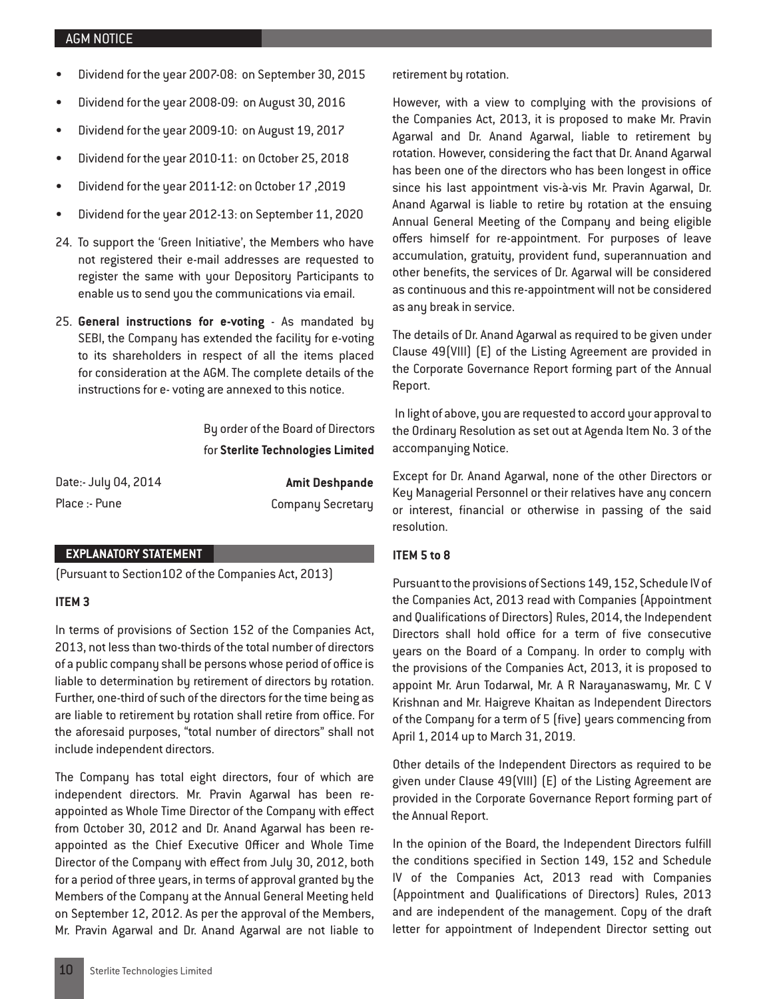- Dividend for the year 2007-08: on September 30, 2015
- Dividend for the year 2008-09: on August 30, 2016
- Dividend for the year 2009-10: on August 19, 2017
- Dividend for the year 2010-11: on October 25, 2018
- • Dividend for the year 2011-12: on October 17 ,2019
- Dividend for the year 2012-13: on September 11, 2020
- 24. To support the 'Green Initiative', the Members who have not registered their e-mail addresses are requested to register the same with your Depository Participants to enable us to send you the communications via email.
- 25. **General instructions for e-voting** As mandated by SEBI, the Company has extended the facility for e-voting to its shareholders in respect of all the items placed for consideration at the AGM. The complete details of the instructions for e- voting are annexed to this notice.

By order of the Board of Directors for **Sterlite Technologies Limited** 

| Date:- July 04, 2014 | <b>Amit Deshpande</b>    |
|----------------------|--------------------------|
| Place :- Pune        | <b>Company Secretary</b> |

#### **EXPLANATORY STATEMENT**

(Pursuant to Section102 of the Companies Act, 2013)

#### **ITEM 3**

In terms of provisions of Section 152 of the Companies Act, 2013, not less than two-thirds of the total number of directors of a public company shall be persons whose period of office is liable to determination by retirement of directors by rotation. Further, one-third of such of the directors for the time being as are liable to retirement by rotation shall retire from office. For the aforesaid purposes, "total number of directors" shall not include independent directors.

The Company has total eight directors, four of which are independent directors. Mr. Pravin Agarwal has been reappointed as Whole Time Director of the Company with effect from October 30, 2012 and Dr. Anand Agarwal has been reappointed as the Chief Executive Officer and Whole Time Director of the Company with effect from July 30, 2012, both for a period of three years, in terms of approval granted by the Members of the Company at the Annual General Meeting held on September 12, 2012. As per the approval of the Members, Mr. Pravin Agarwal and Dr. Anand Agarwal are not liable to retirement by rotation.

However, with a view to complying with the provisions of the Companies Act, 2013, it is proposed to make Mr. Pravin Agarwal and Dr. Anand Agarwal, liable to retirement by rotation. However, considering the fact that Dr. Anand Agarwal has been one of the directors who has been longest in office since his last appointment vis-à-vis Mr. Pravin Agarwal, Dr. Anand Agarwal is liable to retire by rotation at the ensuing Annual General Meeting of the Company and being eligible offers himself for re-appointment. For purposes of leave accumulation, gratuity, provident fund, superannuation and other benefits, the services of Dr. Agarwal will be considered as continuous and this re-appointment will not be considered as any break in service.

The details of Dr. Anand Agarwal as required to be given under Clause 49(VIII) (E) of the Listing Agreement are provided in the Corporate Governance Report forming part of the Annual Report.

 In light of above, you are requested to accord your approval to the Ordinary Resolution as set out at Agenda Item No. 3 of the accompanying Notice.

Except for Dr. Anand Agarwal, none of the other Directors or Key Managerial Personnel or their relatives have any concern or interest, financial or otherwise in passing of the said resolution.

#### **ITEM 5 to 8**

Pursuant to the provisions of Sections 149, 152, Schedule IV of the Companies Act, 2013 read with Companies (Appointment and Qualifications of Directors) Rules, 2014, the Independent Directors shall hold office for a term of five consecutive years on the Board of a Company. In order to comply with the provisions of the Companies Act, 2013, it is proposed to appoint Mr. Arun Todarwal, Mr. A R Narayanaswamy, Mr. C V Krishnan and Mr. Haigreve Khaitan as Independent Directors of the Company for a term of 5 (five) years commencing from April 1, 2014 up to March 31, 2019.

Other details of the Independent Directors as required to be given under Clause 49(VIII) (E) of the Listing Agreement are provided in the Corporate Governance Report forming part of the Annual Report.

In the opinion of the Board, the Independent Directors fulfill the conditions specified in Section 149, 152 and Schedule IV of the Companies Act, 2013 read with Companies (Appointment and Qualifications of Directors) Rules, 2013 and are independent of the management. Copy of the draft letter for appointment of Independent Director setting out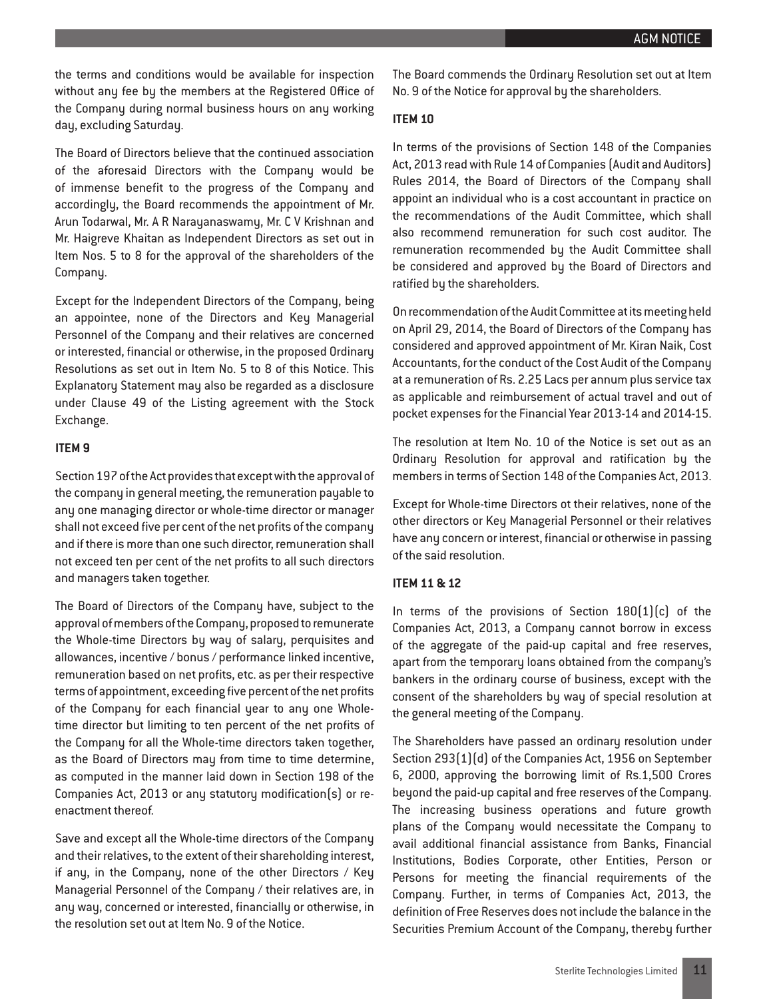the terms and conditions would be available for inspection without any fee by the members at the Registered Office of the Company during normal business hours on any working day, excluding Saturday.

The Board of Directors believe that the continued association of the aforesaid Directors with the Company would be of immense benefit to the progress of the Company and accordingly, the Board recommends the appointment of Mr. Arun Todarwal, Mr. A R Narayanaswamy, Mr. C V Krishnan and Mr. Haigreve Khaitan as Independent Directors as set out in Item Nos. 5 to 8 for the approval of the shareholders of the Company.

Except for the Independent Directors of the Company, being an appointee, none of the Directors and Key Managerial Personnel of the Company and their relatives are concerned or interested, financial or otherwise, in the proposed Ordinary Resolutions as set out in Item No. 5 to 8 of this Notice. This Explanatory Statement may also be regarded as a disclosure under Clause 49 of the Listing agreement with the Stock Exchange.

#### **ITEM 9**

Section 197 of the Act provides that except with the approval of the company in general meeting, the remuneration payable to any one managing director or whole-time director or manager shall not exceed five per cent of the net profits of the company and if there is more than one such director, remuneration shall not exceed ten per cent of the net profits to all such directors and managers taken together.

The Board of Directors of the Company have, subject to the approval of members of the Company, proposed to remunerate the Whole-time Directors by way of salary, perquisites and allowances, incentive / bonus / performance linked incentive, remuneration based on net profits, etc. as per their respective terms of appointment, exceeding five percent of the net profits of the Company for each financial year to any one Wholetime director but limiting to ten percent of the net profits of the Company for all the Whole-time directors taken together, as the Board of Directors may from time to time determine, as computed in the manner laid down in Section 198 of the Companies Act, 2013 or any statutory modification(s) or reenactment thereof.

Save and except all the Whole-time directors of the Company and their relatives, to the extent of their shareholding interest, if any, in the Company, none of the other Directors / Key Managerial Personnel of the Company / their relatives are, in any way, concerned or interested, financially or otherwise, in the resolution set out at Item No. 9 of the Notice.

The Board commends the Ordinary Resolution set out at Item No. 9 of the Notice for approval by the shareholders.

#### **ITEM 10**

In terms of the provisions of Section 148 of the Companies Act, 2013 read with Rule 14 of Companies (Audit and Auditors) Rules 2014, the Board of Directors of the Company shall appoint an individual who is a cost accountant in practice on the recommendations of the Audit Committee, which shall also recommend remuneration for such cost auditor. The remuneration recommended by the Audit Committee shall be considered and approved by the Board of Directors and ratified by the shareholders.

On recommendation of the Audit Committee at its meeting held on April 29, 2014, the Board of Directors of the Company has considered and approved appointment of Mr. Kiran Naik, Cost Accountants, for the conduct of the Cost Audit of the Company at a remuneration of Rs. 2.25 Lacs per annum plus service tax as applicable and reimbursement of actual travel and out of pocket expenses for the Financial Year 2013-14 and 2014-15.

The resolution at Item No. 10 of the Notice is set out as an Ordinary Resolution for approval and ratification by the members in terms of Section 148 of the Companies Act, 2013.

Except for Whole-time Directors ot their relatives, none of the other directors or Key Managerial Personnel or their relatives have any concern or interest, financial or otherwise in passing of the said resolution.

#### **ITEM 11 & 12**

In terms of the provisions of Section  $180(1)(c)$  of the Companies Act, 2013, a Company cannot borrow in excess of the aggregate of the paid-up capital and free reserves, apart from the temporary loans obtained from the company's bankers in the ordinary course of business, except with the consent of the shareholders by way of special resolution at the general meeting of the Company.

The Shareholders have passed an ordinary resolution under Section 293(1)(d) of the Companies Act, 1956 on September 6, 2000, approving the borrowing limit of Rs.1,500 Crores beyond the paid-up capital and free reserves of the Company. The increasing business operations and future growth plans of the Company would necessitate the Company to avail additional financial assistance from Banks, Financial Institutions, Bodies Corporate, other Entities, Person or Persons for meeting the financial requirements of the Company. Further, in terms of Companies Act, 2013, the definition of Free Reserves does not include the balance in the Securities Premium Account of the Company, thereby further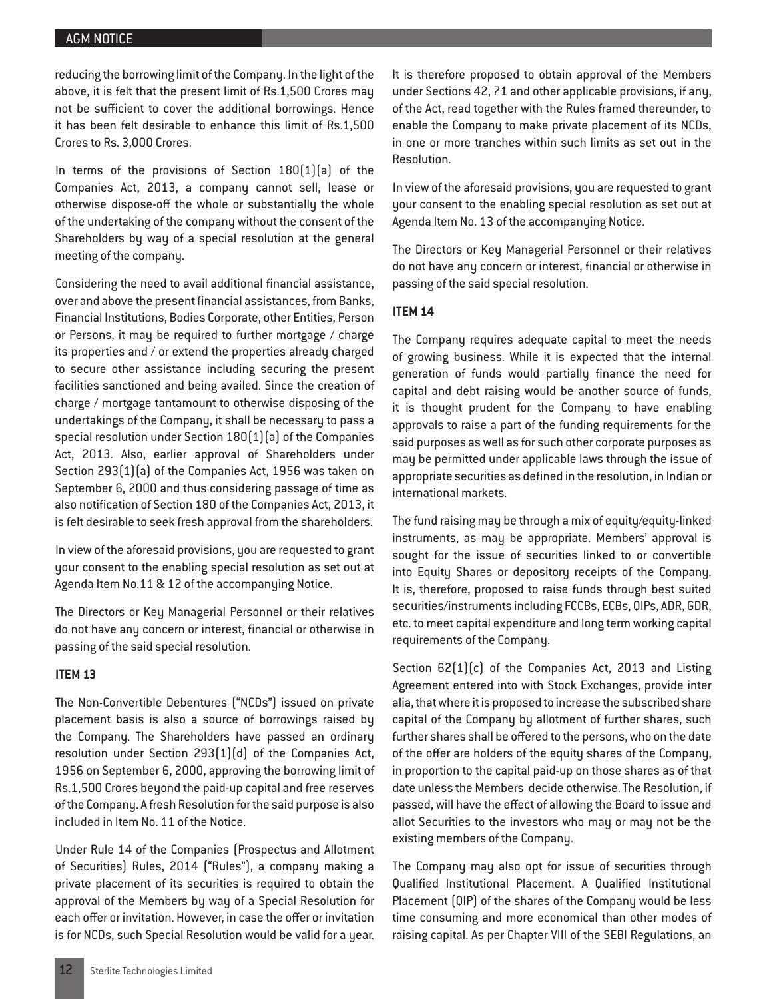reducing the borrowing limit of the Company. In the light of the above, it is felt that the present limit of Rs.1,500 Crores may not be sufficient to cover the additional borrowings. Hence it has been felt desirable to enhance this limit of Rs.1,500 Crores to Rs. 3,000 Crores.

In terms of the provisions of Section  $180[1][a]$  of the Companies Act, 2013, a company cannot sell, lease or otherwise dispose-off the whole or substantially the whole of the undertaking of the company without the consent of the Shareholders by way of a special resolution at the general meeting of the company.

Considering the need to avail additional financial assistance, over and above the present financial assistances, from Banks, Financial Institutions, Bodies Corporate, other Entities, Person or Persons, it may be required to further mortgage / charge its properties and / or extend the properties already charged to secure other assistance including securing the present facilities sanctioned and being availed. Since the creation of charge / mortgage tantamount to otherwise disposing of the undertakings of the Company, it shall be necessary to pass a special resolution under Section 180(1)(a) of the Companies Act, 2013. Also, earlier approval of Shareholders under Section 293(1)(a) of the Companies Act, 1956 was taken on September 6, 2000 and thus considering passage of time as also notification of Section 180 of the Companies Act, 2013, it is felt desirable to seek fresh approval from the shareholders.

In view of the aforesaid provisions, you are requested to grant your consent to the enabling special resolution as set out at Agenda Item No.11 & 12 of the accompanying Notice.

The Directors or Key Managerial Personnel or their relatives do not have any concern or interest, financial or otherwise in passing of the said special resolution.

#### **ITEM 13**

The Non-Convertible Debentures ("NCDs") issued on private placement basis is also a source of borrowings raised by the Company. The Shareholders have passed an ordinary resolution under Section 293(1)(d) of the Companies Act, 1956 on September 6, 2000, approving the borrowing limit of Rs.1,500 Crores beyond the paid-up capital and free reserves of the Company. A fresh Resolution for the said purpose is also included in Item No. 11 of the Notice.

Under Rule 14 of the Companies (Prospectus and Allotment of Securities) Rules, 2014 ("Rules"), a company making a private placement of its securities is required to obtain the approval of the Members by way of a Special Resolution for each offer or invitation. However, in case the offer or invitation is for NCDs, such Special Resolution would be valid for a year. It is therefore proposed to obtain approval of the Members under Sections 42, 71 and other applicable provisions, if any, of the Act, read together with the Rules framed thereunder, to enable the Company to make private placement of its NCDs, in one or more tranches within such limits as set out in the Resolution.

In view of the aforesaid provisions, you are requested to grant your consent to the enabling special resolution as set out at Agenda Item No. 13 of the accompanying Notice.

The Directors or Key Managerial Personnel or their relatives do not have any concern or interest, financial or otherwise in passing of the said special resolution.

#### **ITEM 14**

The Company requires adequate capital to meet the needs of growing business. While it is expected that the internal generation of funds would partially finance the need for capital and debt raising would be another source of funds, it is thought prudent for the Company to have enabling approvals to raise a part of the funding requirements for the said purposes as well as for such other corporate purposes as may be permitted under applicable laws through the issue of appropriate securities as defined in the resolution, in Indian or international markets.

The fund raising may be through a mix of equity/equity-linked instruments, as may be appropriate. Members' approval is sought for the issue of securities linked to or convertible into Equity Shares or depository receipts of the Company. It is, therefore, proposed to raise funds through best suited securities/instruments including FCCBs, ECBs, QIPs, ADR, GDR, etc. to meet capital expenditure and long term working capital requirements of the Company.

Section 62(1)(c) of the Companies Act, 2013 and Listing Agreement entered into with Stock Exchanges, provide inter alia, that where it is proposed to increase the subscribed share capital of the Company by allotment of further shares, such further shares shall be offered to the persons, who on the date of the offer are holders of the equity shares of the Company, in proportion to the capital paid-up on those shares as of that date unless the Members decide otherwise. The Resolution, if passed, will have the effect of allowing the Board to issue and allot Securities to the investors who may or may not be the existing members of the Company.

The Company may also opt for issue of securities through Qualified Institutional Placement. A Qualified Institutional Placement (QIP) of the shares of the Company would be less time consuming and more economical than other modes of raising capital. As per Chapter VIII of the SEBI Regulations, an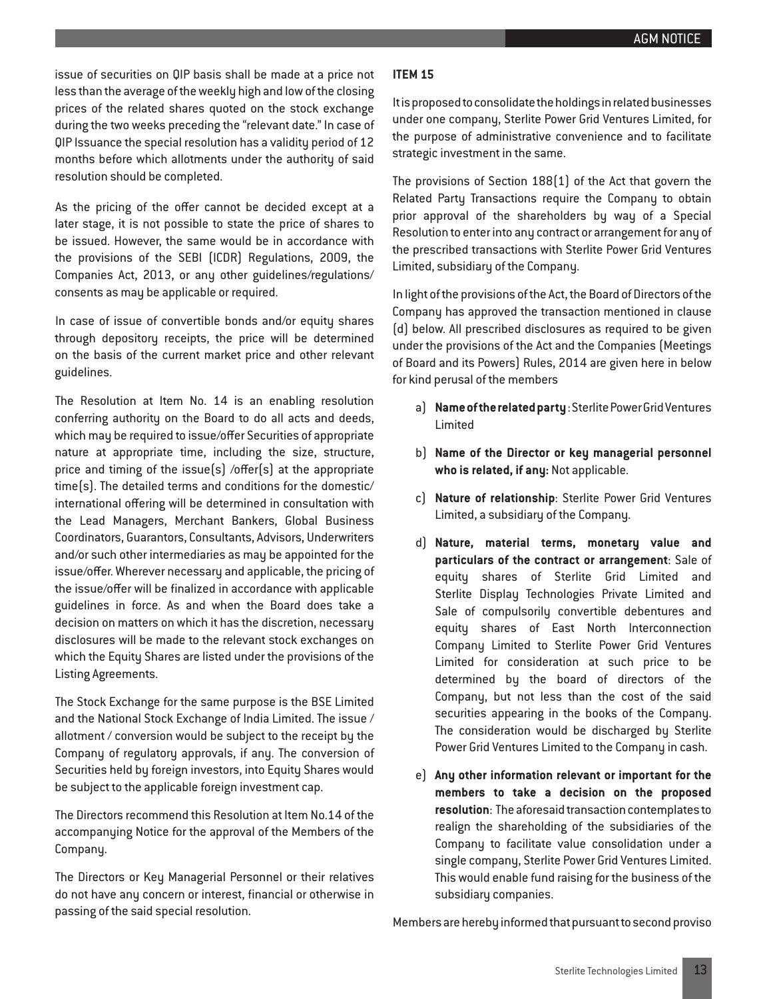issue of securities on QIP basis shall be made at a price not less than the average of the weekly high and low of the closing prices of the related shares quoted on the stock exchange during the two weeks preceding the "relevant date." In case of QIP Issuance the special resolution has a validity period of 12 months before which allotments under the authority of said resolution should be completed.

As the pricing of the offer cannot be decided except at a later stage, it is not possible to state the price of shares to be issued. However, the same would be in accordance with the provisions of the SEBI (ICDR) Regulations, 2009, the Companies Act, 2013, or any other guidelines/regulations/ consents as may be applicable or required.

In case of issue of convertible bonds and/or equity shares through depository receipts, the price will be determined on the basis of the current market price and other relevant guidelines.

The Resolution at Item No. 14 is an enabling resolution conferring authority on the Board to do all acts and deeds, which may be required to issue/offer Securities of appropriate nature at appropriate time, including the size, structure, price and timing of the issue(s) /offer(s) at the appropriate time(s). The detailed terms and conditions for the domestic/ international offering will be determined in consultation with the Lead Managers, Merchant Bankers, Global Business Coordinators, Guarantors, Consultants, Advisors, Underwriters and/or such other intermediaries as may be appointed for the issue/offer. Wherever necessary and applicable, the pricing of the issue/offer will be finalized in accordance with applicable guidelines in force. As and when the Board does take a decision on matters on which it has the discretion, necessary disclosures will be made to the relevant stock exchanges on which the Equity Shares are listed under the provisions of the Listing Agreements.

The Stock Exchange for the same purpose is the BSE Limited and the National Stock Exchange of India Limited. The issue / allotment / conversion would be subject to the receipt by the Company of regulatory approvals, if any. The conversion of Securities held by foreign investors, into Equity Shares would be subject to the applicable foreign investment cap.

The Directors recommend this Resolution at Item No.14 of the accompanying Notice for the approval of the Members of the Company.

The Directors or Key Managerial Personnel or their relatives do not have any concern or interest, financial or otherwise in passing of the said special resolution.

## **ITEM 15**

It is proposed to consolidate the holdings in related businesses under one company, Sterlite Power Grid Ventures Limited, for the purpose of administrative convenience and to facilitate strategic investment in the same.

The provisions of Section 188(1) of the Act that govern the Related Party Transactions require the Company to obtain prior approval of the shareholders by way of a Special Resolution to enter into any contract or arrangement for any of the prescribed transactions with Sterlite Power Grid Ventures Limited, subsidiary of the Company.

In light of the provisions of the Act, the Board of Directors of the Company has approved the transaction mentioned in clause (d) below. All prescribed disclosures as required to be given under the provisions of the Act and the Companies (Meetings of Board and its Powers) Rules, 2014 are given here in below for kind perusal of the members

- a) **Name of the related party** : Sterlite Power Grid Ventures Limited
- b) **Name of the Director or key managerial personnel who is related, if any:** Not applicable.
- c) **Nature of relationship**: Sterlite Power Grid Ventures Limited, a subsidiary of the Company.
- d) **Nature, material terms, monetary value and particulars of the contract or arrangement**: Sale of equity shares of Sterlite Grid Limited and Sterlite Display Technologies Private Limited and Sale of compulsorily convertible debentures and equity shares of East North Interconnection Company Limited to Sterlite Power Grid Ventures Limited for consideration at such price to be determined by the board of directors of the Company, but not less than the cost of the said securities appearing in the books of the Company. The consideration would be discharged by Sterlite Power Grid Ventures Limited to the Company in cash.
- e) **Any other information relevant or important for the members to take a decision on the proposed resolution**: The aforesaid transaction contemplates to realign the shareholding of the subsidiaries of the Company to facilitate value consolidation under a single company, Sterlite Power Grid Ventures Limited. This would enable fund raising for the business of the subsidiary companies.

Members are hereby informed that pursuant to second proviso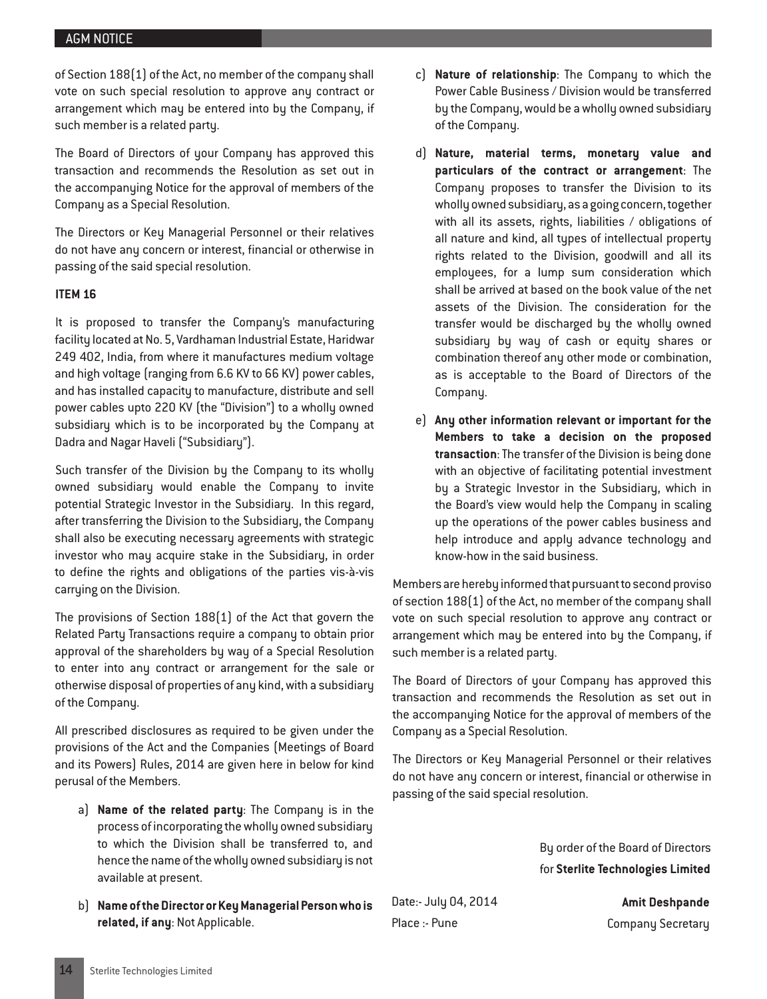of Section 188(1) of the Act, no member of the company shall vote on such special resolution to approve any contract or arrangement which may be entered into by the Company, if such member is a related party.

The Board of Directors of your Company has approved this transaction and recommends the Resolution as set out in the accompanying Notice for the approval of members of the Company as a Special Resolution.

The Directors or Key Managerial Personnel or their relatives do not have any concern or interest, financial or otherwise in passing of the said special resolution.

#### **ITEM 16**

It is proposed to transfer the Company's manufacturing facility located at No. 5, Vardhaman Industrial Estate, Haridwar 249 402, India, from where it manufactures medium voltage and high voltage (ranging from 6.6 KV to 66 KV) power cables, and has installed capacity to manufacture, distribute and sell power cables upto 220 KV (the "Division") to a wholly owned subsidiary which is to be incorporated by the Company at Dadra and Nagar Haveli ("Subsidiary").

Such transfer of the Division by the Company to its wholly owned subsidiary would enable the Company to invite potential Strategic Investor in the Subsidiary. In this regard, after transferring the Division to the Subsidiary, the Company shall also be executing necessary agreements with strategic investor who may acquire stake in the Subsidiary, in order to define the rights and obligations of the parties vis-à-vis carrying on the Division.

The provisions of Section 188(1) of the Act that govern the Related Party Transactions require a company to obtain prior approval of the shareholders by way of a Special Resolution to enter into any contract or arrangement for the sale or otherwise disposal of properties of any kind, with a subsidiary of the Company.

All prescribed disclosures as required to be given under the provisions of the Act and the Companies (Meetings of Board and its Powers) Rules, 2014 are given here in below for kind perusal of the Members.

- a) **Name of the related party**: The Company is in the process of incorporating the wholly owned subsidiary to which the Division shall be transferred to, and hence the name of the wholly owned subsidiary is not available at present.
- b) **Name of the Director or Key Managerial Person who is related, if any**: Not Applicable.
- c) **Nature of relationship**: The Company to which the Power Cable Business / Division would be transferred by the Company, would be a wholly owned subsidiary of the Company.
- d) **Nature, material terms, monetary value and particulars of the contract or arrangement**: The Company proposes to transfer the Division to its wholly owned subsidiary, as a going concern, together with all its assets, rights, liabilities / obligations of all nature and kind, all types of intellectual property rights related to the Division, goodwill and all its employees, for a lump sum consideration which shall be arrived at based on the book value of the net assets of the Division. The consideration for the transfer would be discharged by the wholly owned subsidiary by way of cash or equity shares or combination thereof any other mode or combination, as is acceptable to the Board of Directors of the Company.
- e) **Any other information relevant or important for the Members to take a decision on the proposed transaction**: The transfer of the Division is being done with an objective of facilitating potential investment by a Strategic Investor in the Subsidiary, which in the Board's view would help the Company in scaling up the operations of the power cables business and help introduce and apply advance technology and know-how in the said business.

Members are hereby informed that pursuant to second proviso of section 188(1) of the Act, no member of the company shall vote on such special resolution to approve any contract or arrangement which may be entered into by the Company, if such member is a related party.

The Board of Directors of your Company has approved this transaction and recommends the Resolution as set out in the accompanying Notice for the approval of members of the Company as a Special Resolution.

The Directors or Key Managerial Personnel or their relatives do not have any concern or interest, financial or otherwise in passing of the said special resolution.

> By order of the Board of Directors for **Sterlite Technologies Limited**

Date:- July 04, 2014 Place :- Pune

**Amit Deshpande** Company Secretary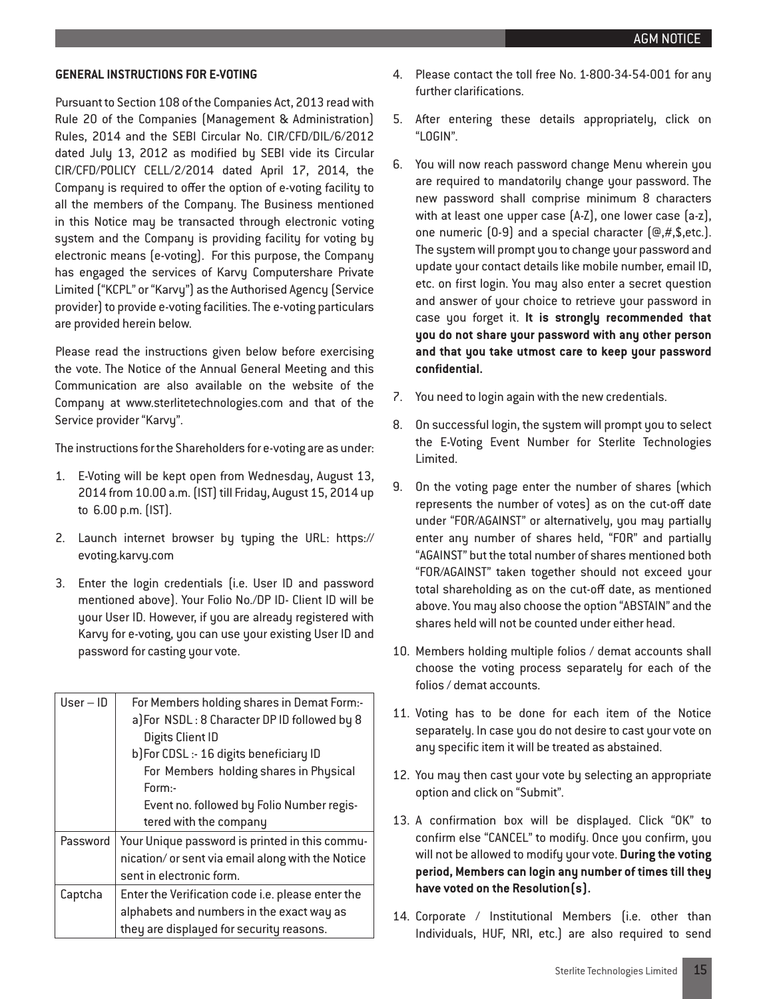#### **GENERAL INSTRUCTIONS FOR E-VOTING**

Pursuant to Section 108 of the Companies Act, 2013 read with Rule 20 of the Companies (Management & Administration) Rules, 2014 and the SEBI Circular No. CIR/CFD/DIL/6/2012 dated July 13, 2012 as modified by SEBI vide its Circular CIR/CFD/POLICY CELL/2/2014 dated April 17, 2014, the Company is required to offer the option of e-voting facility to all the members of the Company. The Business mentioned in this Notice may be transacted through electronic voting system and the Company is providing facility for voting by electronic means (e-voting). For this purpose, the Company has engaged the services of Karvy Computershare Private Limited ("KCPL" or "Karvy") as the Authorised Agency (Service provider) to provide e-voting facilities. The e-voting particulars are provided herein below.

Please read the instructions given below before exercising the vote. The Notice of the Annual General Meeting and this Communication are also available on the website of the Company at www.sterlitetechnologies.com and that of the Service provider "Karvy".

The instructions for the Shareholders for e-voting are as under:

- 1. E-Voting will be kept open from Wednesday, August 13, 2014 from 10.00 a.m. (IST) till Friday, August 15, 2014 up to 6.00 p.m. (IST).
- 2. Launch internet browser by typing the URL: https:// evoting.karvy.com
- 3. Enter the login credentials (i.e. User ID and password mentioned above). Your Folio No./DP ID- Client ID will be your User ID. However, if you are already registered with Karvy for e-voting, you can use your existing User ID and password for casting your vote.

| $User - ID$ | For Members holding shares in Demat Form:-        |  |  |  |  |
|-------------|---------------------------------------------------|--|--|--|--|
|             | a]For NSDL: 8 Character DP ID followed by 8       |  |  |  |  |
|             | Digits Client ID                                  |  |  |  |  |
|             | b) For CDSL :- 16 digits beneficiary ID           |  |  |  |  |
|             | For Members holding shares in Physical            |  |  |  |  |
|             | Form:-                                            |  |  |  |  |
|             | Event no. followed by Folio Number regis-         |  |  |  |  |
|             | tered with the company                            |  |  |  |  |
| Password    | Your Unique password is printed in this commu-    |  |  |  |  |
|             | nication/or sent via email along with the Notice  |  |  |  |  |
|             | sent in electronic form.                          |  |  |  |  |
| Captcha     | Enter the Verification code i.e. please enter the |  |  |  |  |
|             | alphabets and numbers in the exact way as         |  |  |  |  |
|             | they are displayed for security reasons.          |  |  |  |  |
|             |                                                   |  |  |  |  |

- 4. Please contact the toll free No. 1-800-34-54-001 for any further clarifications.
- 5. After entering these details appropriately, click on "LOGIN".
- 6. You will now reach password change Menu wherein you are required to mandatorily change your password. The new password shall comprise minimum 8 characters with at least one upper case (A-Z), one lower case (a-z), one numeric  $(0-9)$  and a special character  $(\text{Q},\#,\$,\text{etc.})$ . The system will prompt you to change your password and update your contact details like mobile number, email ID, etc. on first login. You may also enter a secret question and answer of your choice to retrieve your password in case you forget it. **It is strongly recommended that you do not share your password with any other person and that you take utmost care to keep your password confidential.**
- 7. You need to login again with the new credentials.
- 8. On successful login, the system will prompt you to select the E-Voting Event Number for Sterlite Technologies Limited.
- 9. On the voting page enter the number of shares (which represents the number of votes) as on the cut-off date under "FOR/AGAINST" or alternatively, you may partially enter any number of shares held, "FOR" and partially "AGAINST" but the total number of shares mentioned both "FOR/AGAINST" taken together should not exceed your total shareholding as on the cut-off date, as mentioned above. You may also choose the option "ABSTAIN" and the shares held will not be counted under either head.
- 10. Members holding multiple folios / demat accounts shall choose the voting process separately for each of the folios / demat accounts.
- 11. Voting has to be done for each item of the Notice separately. In case you do not desire to cast your vote on any specific item it will be treated as abstained.
- 12. You may then cast your vote by selecting an appropriate option and click on "Submit".
- 13. A confirmation box will be displayed. Click "OK" to confirm else "CANCEL" to modify. Once you confirm, you will not be allowed to modify your vote. **During the voting period, Members can login any number of times till they have voted on the Resolution(s).**
- 14. Corporate / Institutional Members (i.e. other than Individuals, HUF, NRI, etc.) are also required to send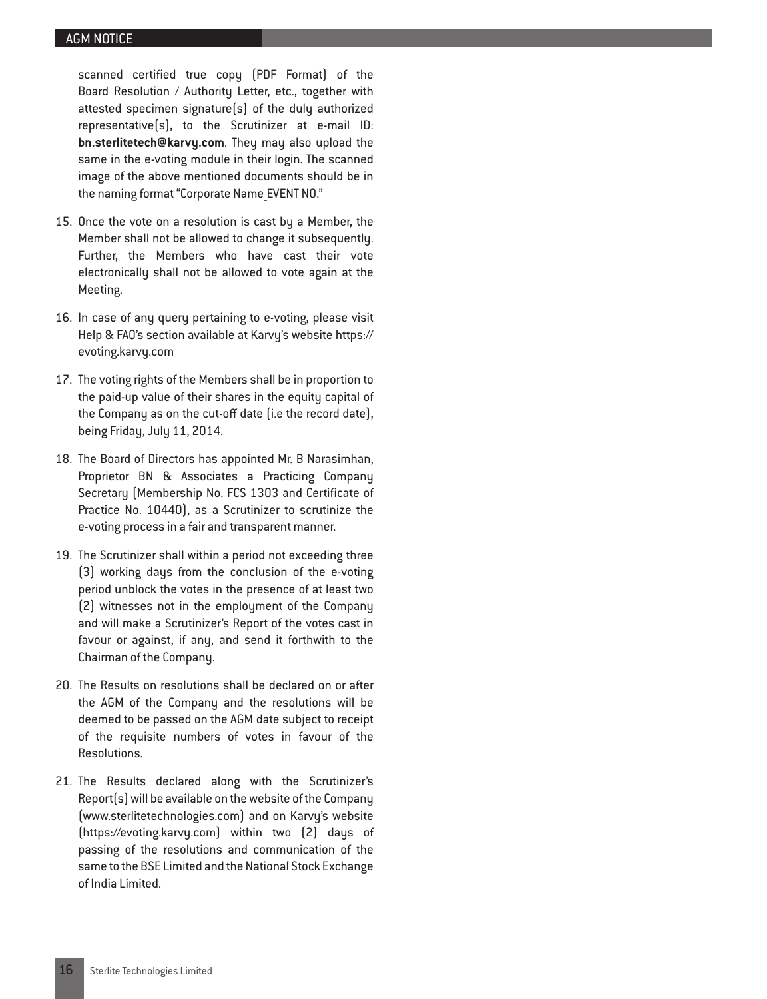scanned certified true copy (PDF Format) of the Board Resolution / Authority Letter, etc., together with attested specimen signature(s) of the duly authorized representative(s), to the Scrutinizer at e-mail ID: **bn.sterlitetech@karvy.com**. They may also upload the same in the e-voting module in their login. The scanned image of the above mentioned documents should be in the naming format "Corporate Name EVENT NO."

- 15. Once the vote on a resolution is cast by a Member, the Member shall not be allowed to change it subsequently. Further, the Members who have cast their vote electronically shall not be allowed to vote again at the Meeting.
- 16. In case of any query pertaining to e-voting, please visit Help & FAQ's section available at Karvy's website https:// evoting.karvy.com
- 17. The voting rights of the Members shall be in proportion to the paid-up value of their shares in the equity capital of the Company as on the cut-off date (i.e the record date), being Friday, July 11, 2014.
- 18. The Board of Directors has appointed Mr. B Narasimhan, Proprietor BN & Associates a Practicing Company Secretary (Membership No. FCS 1303 and Certificate of Practice No. 10440), as a Scrutinizer to scrutinize the e-voting process in a fair and transparent manner.
- 19. The Scrutinizer shall within a period not exceeding three (3) working days from the conclusion of the e-voting period unblock the votes in the presence of at least two (2) witnesses not in the employment of the Company and will make a Scrutinizer's Report of the votes cast in favour or against, if any, and send it forthwith to the Chairman of the Company.
- 20. The Results on resolutions shall be declared on or after the AGM of the Company and the resolutions will be deemed to be passed on the AGM date subject to receipt of the requisite numbers of votes in favour of the Resolutions.
- 21. The Results declared along with the Scrutinizer's Report(s) will be available on the website of the Company (www.sterlitetechnologies.com) and on Karvy's website (https://evoting.karvy.com) within two (2) days of passing of the resolutions and communication of the same to the BSE Limited and the National Stock Exchange of India Limited.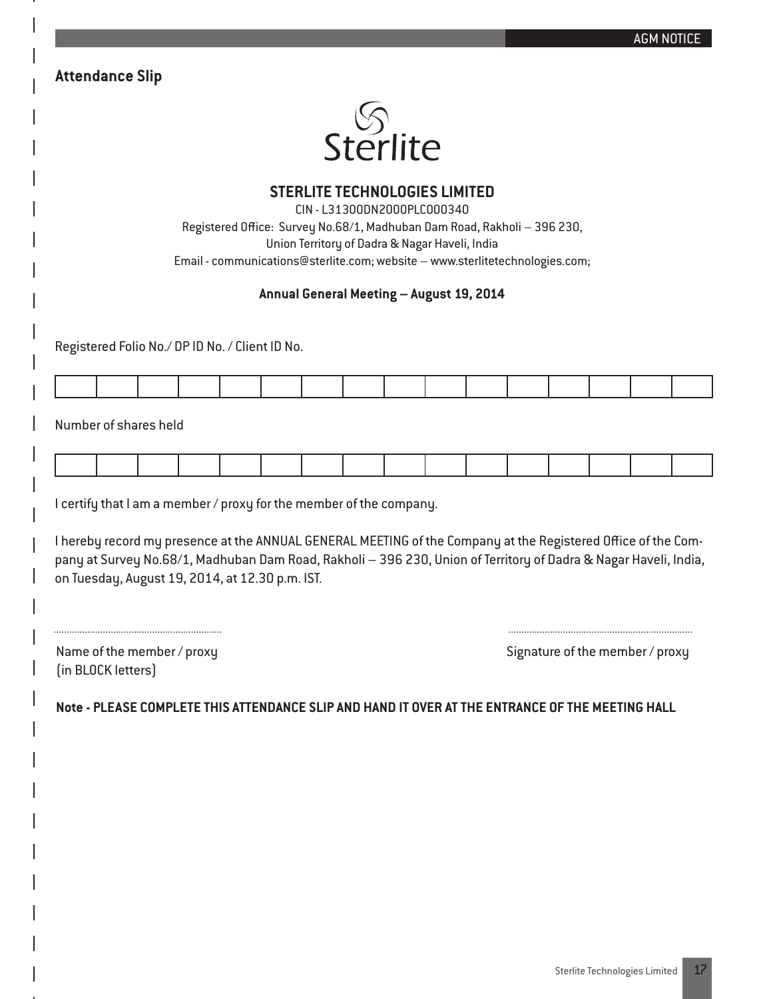|                                                                                                                                                                                                                                                                                                                                                             |                                                                              |  |                                                                                                                                                                                                   |  |  |  | <b>AGM NOTICE</b>               |  |
|-------------------------------------------------------------------------------------------------------------------------------------------------------------------------------------------------------------------------------------------------------------------------------------------------------------------------------------------------------------|------------------------------------------------------------------------------|--|---------------------------------------------------------------------------------------------------------------------------------------------------------------------------------------------------|--|--|--|---------------------------------|--|
| <b>Attendance Slip</b>                                                                                                                                                                                                                                                                                                                                      |                                                                              |  |                                                                                                                                                                                                   |  |  |  |                                 |  |
|                                                                                                                                                                                                                                                                                                                                                             |                                                                              |  |                                                                                                                                                                                                   |  |  |  |                                 |  |
|                                                                                                                                                                                                                                                                                                                                                             |                                                                              |  | Sterlite                                                                                                                                                                                          |  |  |  |                                 |  |
|                                                                                                                                                                                                                                                                                                                                                             |                                                                              |  | <b>STERLITE TECHNOLOGIES LIMITED</b><br>CIN - L31300DN2000PLC000340<br>Registered Office: Survey No.68/1, Madhuban Dam Road, Rakholi - 396 230,<br>Union Territory of Dadra & Nagar Haveli, India |  |  |  |                                 |  |
|                                                                                                                                                                                                                                                                                                                                                             | Email - communications@sterlite.com; website - www.sterlitetechnologies.com; |  |                                                                                                                                                                                                   |  |  |  |                                 |  |
|                                                                                                                                                                                                                                                                                                                                                             |                                                                              |  | Annual General Meeting - August 19, 2014                                                                                                                                                          |  |  |  |                                 |  |
| Registered Folio No./ DP ID No. / Client ID No.                                                                                                                                                                                                                                                                                                             |                                                                              |  |                                                                                                                                                                                                   |  |  |  |                                 |  |
|                                                                                                                                                                                                                                                                                                                                                             |                                                                              |  |                                                                                                                                                                                                   |  |  |  |                                 |  |
|                                                                                                                                                                                                                                                                                                                                                             |                                                                              |  |                                                                                                                                                                                                   |  |  |  |                                 |  |
| Number of shares held                                                                                                                                                                                                                                                                                                                                       |                                                                              |  |                                                                                                                                                                                                   |  |  |  |                                 |  |
|                                                                                                                                                                                                                                                                                                                                                             |                                                                              |  |                                                                                                                                                                                                   |  |  |  |                                 |  |
| I certify that I am a member / proxy for the member of the company.<br>I hereby record my presence at the ANNUAL GENERAL MEETING of the Company at the Registered Office of the Com-<br>pany at Survey No.68/1, Madhuban Dam Road, Rakholi - 396 230, Union of Territory of Dadra & Nagar Haveli, India,<br>on Tuesday, August 19, 2014, at 12.30 p.m. IST. |                                                                              |  |                                                                                                                                                                                                   |  |  |  |                                 |  |
| Name of the member / proxy<br>(in BLOCK letters)                                                                                                                                                                                                                                                                                                            |                                                                              |  |                                                                                                                                                                                                   |  |  |  | Signature of the member / proxy |  |
| Note - PLEASE COMPLETE THIS ATTENDANCE SLIP AND HAND IT OVER AT THE ENTRANCE OF THE MEETING HALL                                                                                                                                                                                                                                                            |                                                                              |  |                                                                                                                                                                                                   |  |  |  |                                 |  |
|                                                                                                                                                                                                                                                                                                                                                             |                                                                              |  |                                                                                                                                                                                                   |  |  |  |                                 |  |
|                                                                                                                                                                                                                                                                                                                                                             |                                                                              |  |                                                                                                                                                                                                   |  |  |  |                                 |  |
|                                                                                                                                                                                                                                                                                                                                                             |                                                                              |  |                                                                                                                                                                                                   |  |  |  |                                 |  |
|                                                                                                                                                                                                                                                                                                                                                             |                                                                              |  |                                                                                                                                                                                                   |  |  |  |                                 |  |
|                                                                                                                                                                                                                                                                                                                                                             |                                                                              |  |                                                                                                                                                                                                   |  |  |  |                                 |  |
|                                                                                                                                                                                                                                                                                                                                                             |                                                                              |  |                                                                                                                                                                                                   |  |  |  |                                 |  |

I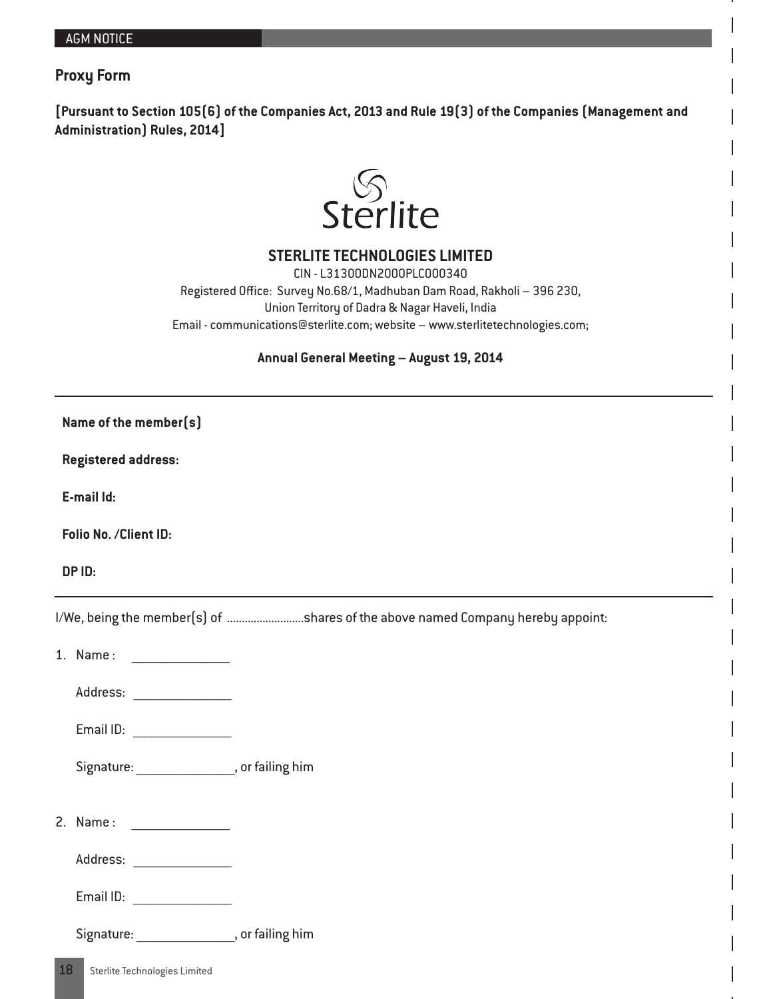## **Proxy Form**

**[Pursuant to Section 105(6) of the Companies Act, 2013 and Rule 19(3) of the Companies (Management and Administration) Rules, 2014]**



**STERLITE TECHNOLOGIES LIMITED**

CIN - L31300DN2000PLC000340 Registered Office: Survey No.68/1, Madhuban Dam Road, Rakholi – 396 230, Union Territory of Dadra & Nagar Haveli, India Email - communications@sterlite.com; website – www.sterlitetechnologies.com;

## **Annual General Meeting – August 19, 2014**

| Name of the member(s)      |                                              |                                                                                |  |  |  |  |  |
|----------------------------|----------------------------------------------|--------------------------------------------------------------------------------|--|--|--|--|--|
| <b>Registered address:</b> |                                              |                                                                                |  |  |  |  |  |
| E-mail Id:                 |                                              |                                                                                |  |  |  |  |  |
| Folio No. / Client ID:     |                                              |                                                                                |  |  |  |  |  |
| DP ID:                     |                                              |                                                                                |  |  |  |  |  |
|                            |                                              | I/We, being the member(s) of shares of the above named Company hereby appoint: |  |  |  |  |  |
|                            |                                              |                                                                                |  |  |  |  |  |
|                            |                                              |                                                                                |  |  |  |  |  |
|                            | Email ID:                                    |                                                                                |  |  |  |  |  |
|                            | Signature: _________________, or failing him |                                                                                |  |  |  |  |  |
|                            |                                              |                                                                                |  |  |  |  |  |
|                            |                                              |                                                                                |  |  |  |  |  |
|                            | Email ID:                                    |                                                                                |  |  |  |  |  |
|                            | Signature: _________________, or failing him |                                                                                |  |  |  |  |  |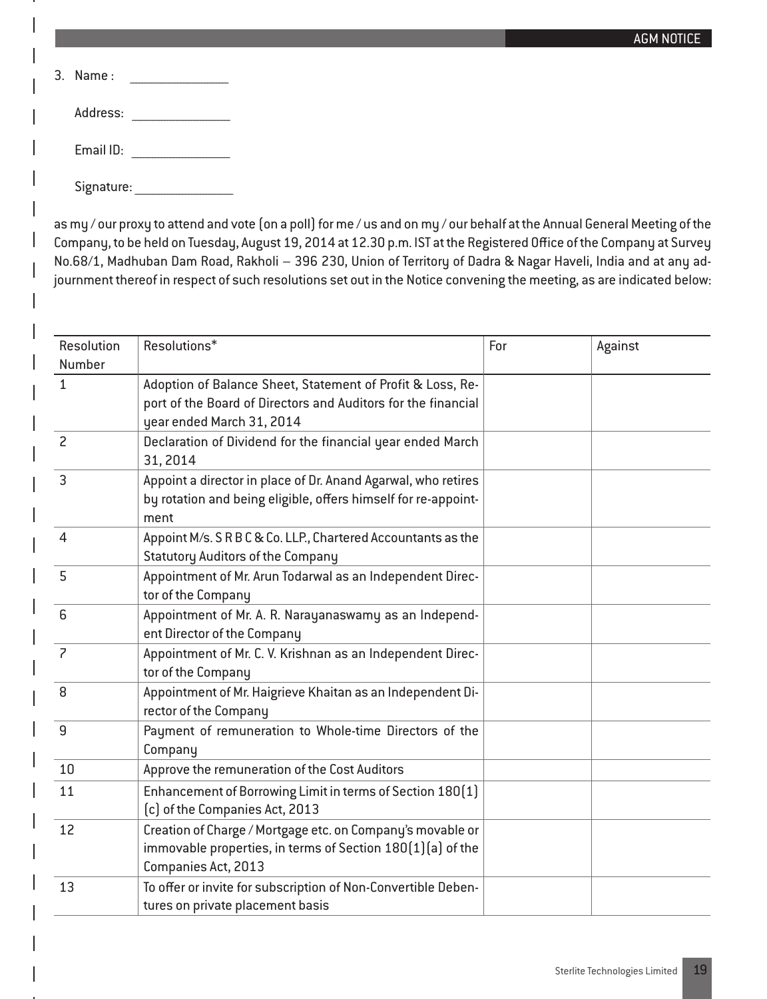| $3.$ Name: |  |
|------------|--|
| Address:   |  |
| Email ID:  |  |
| Signature: |  |

as my / our proxy to attend and vote (on a poll) for me / us and on my / our behalf at the Annual General Meeting of the Company, to be held on Tuesday, August 19, 2014 at 12.30 p.m. IST at the Registered Office of the Company at Survey No.68/1, Madhuban Dam Road, Rakholi – 396 230, Union of Territory of Dadra & Nagar Haveli, India and at any adjournment thereof in respect of such resolutions set out in the Notice convening the meeting, as are indicated below:

| Resolution<br>Number | Resolutions*                                                                                                                                             | For | Against |
|----------------------|----------------------------------------------------------------------------------------------------------------------------------------------------------|-----|---------|
| $\mathbf{1}$         | Adoption of Balance Sheet, Statement of Profit & Loss, Re-<br>port of the Board of Directors and Auditors for the financial<br>year ended March 31, 2014 |     |         |
| $\overline{c}$       | Declaration of Dividend for the financial year ended March<br>31, 2014                                                                                   |     |         |
| $\overline{3}$       | Appoint a director in place of Dr. Anand Agarwal, who retires<br>by rotation and being eligible, offers himself for re-appoint-<br>ment                  |     |         |
| $\overline{4}$       | Appoint M/s. S R B C & Co. LLP., Chartered Accountants as the<br><b>Statutory Auditors of the Company</b>                                                |     |         |
| 5                    | Appointment of Mr. Arun Todarwal as an Independent Direc-<br>tor of the Company                                                                          |     |         |
| 6                    | Appointment of Mr. A. R. Narayanaswamy as an Independ-<br>ent Director of the Company                                                                    |     |         |
| $\overline{z}$       | Appointment of Mr. C. V. Krishnan as an Independent Direc-<br>tor of the Company                                                                         |     |         |
| 8                    | Appointment of Mr. Haigrieve Khaitan as an Independent Di-<br>rector of the Company                                                                      |     |         |
| 9                    | Payment of remuneration to Whole-time Directors of the<br>Company                                                                                        |     |         |
| 10                   | Approve the remuneration of the Cost Auditors                                                                                                            |     |         |
| 11                   | Enhancement of Borrowing Limit in terms of Section 180(1)<br>(c) of the Companies Act, 2013                                                              |     |         |
| 12                   | Creation of Charge / Mortgage etc. on Company's movable or<br>immovable properties, in terms of Section 180(1)(a) of the<br>Companies Act, 2013          |     |         |
| 13                   | To offer or invite for subscription of Non-Convertible Deben-<br>tures on private placement basis                                                        |     |         |